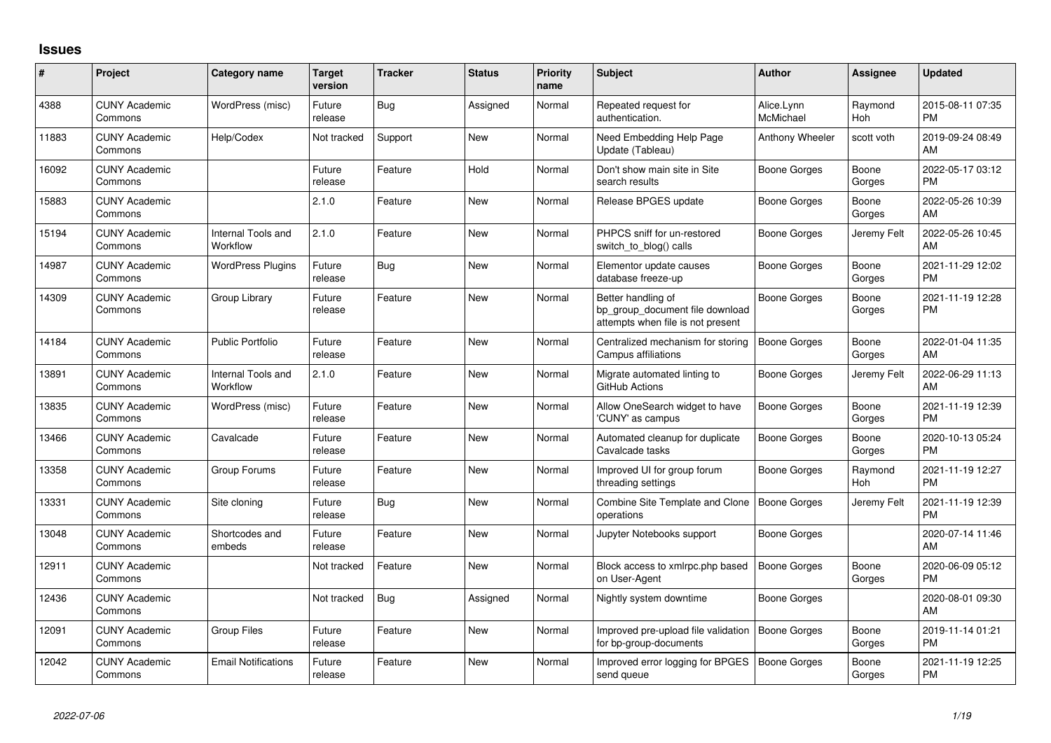## **Issues**

| #     | Project                         | <b>Category name</b>           | <b>Target</b><br>version | <b>Tracker</b> | <b>Status</b> | <b>Priority</b><br>name | <b>Subject</b>                                                                             | <b>Author</b>           | <b>Assignee</b> | <b>Updated</b>                |
|-------|---------------------------------|--------------------------------|--------------------------|----------------|---------------|-------------------------|--------------------------------------------------------------------------------------------|-------------------------|-----------------|-------------------------------|
| 4388  | <b>CUNY Academic</b><br>Commons | WordPress (misc)               | Future<br>release        | <b>Bug</b>     | Assigned      | Normal                  | Repeated request for<br>authentication.                                                    | Alice.Lynn<br>McMichael | Raymond<br>Hoh  | 2015-08-11 07:35<br>PM        |
| 11883 | <b>CUNY Academic</b><br>Commons | Help/Codex                     | Not tracked              | Support        | New           | Normal                  | Need Embedding Help Page<br>Update (Tableau)                                               | Anthony Wheeler         | scott voth      | 2019-09-24 08:49<br>AM        |
| 16092 | <b>CUNY Academic</b><br>Commons |                                | Future<br>release        | Feature        | Hold          | Normal                  | Don't show main site in Site<br>search results                                             | Boone Gorges            | Boone<br>Gorges | 2022-05-17 03:12<br><b>PM</b> |
| 15883 | <b>CUNY Academic</b><br>Commons |                                | 2.1.0                    | Feature        | New           | Normal                  | Release BPGES update                                                                       | Boone Gorges            | Boone<br>Gorges | 2022-05-26 10:39<br>AM        |
| 15194 | <b>CUNY Academic</b><br>Commons | Internal Tools and<br>Workflow | 2.1.0                    | Feature        | <b>New</b>    | Normal                  | PHPCS sniff for un-restored<br>switch to blog() calls                                      | Boone Gorges            | Jeremy Felt     | 2022-05-26 10:45<br>AM        |
| 14987 | <b>CUNY Academic</b><br>Commons | <b>WordPress Plugins</b>       | Future<br>release        | Bug            | <b>New</b>    | Normal                  | Elementor update causes<br>database freeze-up                                              | Boone Gorges            | Boone<br>Gorges | 2021-11-29 12:02<br>PM        |
| 14309 | <b>CUNY Academic</b><br>Commons | Group Library                  | Future<br>release        | Feature        | <b>New</b>    | Normal                  | Better handling of<br>bp group document file download<br>attempts when file is not present | Boone Gorges            | Boone<br>Gorges | 2021-11-19 12:28<br>PM        |
| 14184 | <b>CUNY Academic</b><br>Commons | <b>Public Portfolio</b>        | Future<br>release        | Feature        | <b>New</b>    | Normal                  | Centralized mechanism for storing<br>Campus affiliations                                   | <b>Boone Gorges</b>     | Boone<br>Gorges | 2022-01-04 11:35<br>AM        |
| 13891 | <b>CUNY Academic</b><br>Commons | Internal Tools and<br>Workflow | 2.1.0                    | Feature        | <b>New</b>    | Normal                  | Migrate automated linting to<br>GitHub Actions                                             | <b>Boone Gorges</b>     | Jeremy Felt     | 2022-06-29 11:13<br>AM        |
| 13835 | <b>CUNY Academic</b><br>Commons | WordPress (misc)               | Future<br>release        | Feature        | New           | Normal                  | Allow OneSearch widget to have<br>'CUNY' as campus                                         | <b>Boone Gorges</b>     | Boone<br>Gorges | 2021-11-19 12:39<br>PM        |
| 13466 | <b>CUNY Academic</b><br>Commons | Cavalcade                      | Future<br>release        | Feature        | New           | Normal                  | Automated cleanup for duplicate<br>Cavalcade tasks                                         | Boone Gorges            | Boone<br>Gorges | 2020-10-13 05:24<br>PM        |
| 13358 | <b>CUNY Academic</b><br>Commons | Group Forums                   | Future<br>release        | Feature        | <b>New</b>    | Normal                  | Improved UI for group forum<br>threading settings                                          | Boone Gorges            | Raymond<br>Hoh  | 2021-11-19 12:27<br><b>PM</b> |
| 13331 | <b>CUNY Academic</b><br>Commons | Site cloning                   | Future<br>release        | Bug            | <b>New</b>    | Normal                  | Combine Site Template and Clone<br>operations                                              | Boone Gorges            | Jeremy Felt     | 2021-11-19 12:39<br><b>PM</b> |
| 13048 | <b>CUNY Academic</b><br>Commons | Shortcodes and<br>embeds       | Future<br>release        | Feature        | <b>New</b>    | Normal                  | Jupyter Notebooks support                                                                  | Boone Gorges            |                 | 2020-07-14 11:46<br>AM        |
| 12911 | <b>CUNY Academic</b><br>Commons |                                | Not tracked              | Feature        | New           | Normal                  | Block access to xmlrpc.php based<br>on User-Agent                                          | <b>Boone Gorges</b>     | Boone<br>Gorges | 2020-06-09 05:12<br>PM        |
| 12436 | <b>CUNY Academic</b><br>Commons |                                | Not tracked              | Bug            | Assigned      | Normal                  | Nightly system downtime                                                                    | Boone Gorges            |                 | 2020-08-01 09:30<br>AM        |
| 12091 | <b>CUNY Academic</b><br>Commons | <b>Group Files</b>             | Future<br>release        | Feature        | New           | Normal                  | Improved pre-upload file validation<br>for bp-group-documents                              | <b>Boone Gorges</b>     | Boone<br>Gorges | 2019-11-14 01:21<br>PM        |
| 12042 | <b>CUNY Academic</b><br>Commons | <b>Email Notifications</b>     | Future<br>release        | Feature        | <b>New</b>    | Normal                  | Improved error logging for BPGES<br>send queue                                             | <b>Boone Gorges</b>     | Boone<br>Gorges | 2021-11-19 12:25<br>PM        |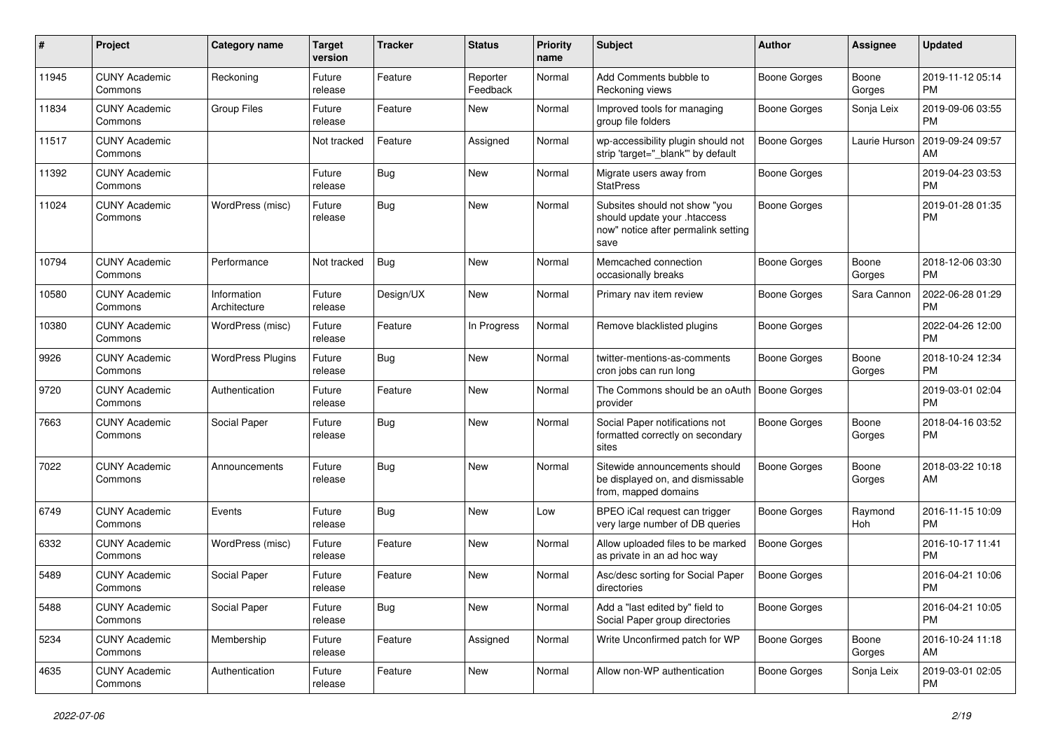| #     | Project                         | <b>Category name</b>        | <b>Target</b><br>version | <b>Tracker</b> | <b>Status</b>        | <b>Priority</b><br>name | <b>Subject</b>                                                                                               | Author              | <b>Assignee</b> | <b>Updated</b>                |
|-------|---------------------------------|-----------------------------|--------------------------|----------------|----------------------|-------------------------|--------------------------------------------------------------------------------------------------------------|---------------------|-----------------|-------------------------------|
| 11945 | <b>CUNY Academic</b><br>Commons | Reckoning                   | Future<br>release        | Feature        | Reporter<br>Feedback | Normal                  | Add Comments bubble to<br>Reckoning views                                                                    | <b>Boone Gorges</b> | Boone<br>Gorges | 2019-11-12 05:14<br>PM        |
| 11834 | <b>CUNY Academic</b><br>Commons | <b>Group Files</b>          | Future<br>release        | Feature        | New                  | Normal                  | Improved tools for managing<br>group file folders                                                            | <b>Boone Gorges</b> | Sonja Leix      | 2019-09-06 03:55<br><b>PM</b> |
| 11517 | <b>CUNY Academic</b><br>Commons |                             | Not tracked              | Feature        | Assigned             | Normal                  | wp-accessibility plugin should not<br>strip 'target=" blank" by default                                      | Boone Gorges        | Laurie Hurson   | 2019-09-24 09:57<br>AM        |
| 11392 | <b>CUNY Academic</b><br>Commons |                             | Future<br>release        | <b>Bug</b>     | <b>New</b>           | Normal                  | Migrate users away from<br><b>StatPress</b>                                                                  | <b>Boone Gorges</b> |                 | 2019-04-23 03:53<br><b>PM</b> |
| 11024 | <b>CUNY Academic</b><br>Commons | WordPress (misc)            | Future<br>release        | <b>Bug</b>     | New                  | Normal                  | Subsites should not show "you<br>should update your .htaccess<br>now" notice after permalink setting<br>save | <b>Boone Gorges</b> |                 | 2019-01-28 01:35<br><b>PM</b> |
| 10794 | <b>CUNY Academic</b><br>Commons | Performance                 | Not tracked              | Bug            | New                  | Normal                  | Memcached connection<br>occasionally breaks                                                                  | <b>Boone Gorges</b> | Boone<br>Gorges | 2018-12-06 03:30<br><b>PM</b> |
| 10580 | <b>CUNY Academic</b><br>Commons | Information<br>Architecture | Future<br>release        | Design/UX      | <b>New</b>           | Normal                  | Primary nav item review                                                                                      | <b>Boone Gorges</b> | Sara Cannon     | 2022-06-28 01:29<br><b>PM</b> |
| 10380 | <b>CUNY Academic</b><br>Commons | WordPress (misc)            | Future<br>release        | Feature        | In Progress          | Normal                  | Remove blacklisted plugins                                                                                   | <b>Boone Gorges</b> |                 | 2022-04-26 12:00<br><b>PM</b> |
| 9926  | <b>CUNY Academic</b><br>Commons | <b>WordPress Plugins</b>    | Future<br>release        | Bug            | <b>New</b>           | Normal                  | twitter-mentions-as-comments<br>cron jobs can run long                                                       | Boone Gorges        | Boone<br>Gorges | 2018-10-24 12:34<br><b>PM</b> |
| 9720  | <b>CUNY Academic</b><br>Commons | Authentication              | Future<br>release        | Feature        | <b>New</b>           | Normal                  | The Commons should be an oAuth I<br>provider                                                                 | Boone Gorges        |                 | 2019-03-01 02:04<br><b>PM</b> |
| 7663  | <b>CUNY Academic</b><br>Commons | Social Paper                | Future<br>release        | <b>Bug</b>     | New                  | Normal                  | Social Paper notifications not<br>formatted correctly on secondary<br>sites                                  | <b>Boone Gorges</b> | Boone<br>Gorges | 2018-04-16 03:52<br><b>PM</b> |
| 7022  | <b>CUNY Academic</b><br>Commons | Announcements               | Future<br>release        | <b>Bug</b>     | New                  | Normal                  | Sitewide announcements should<br>be displayed on, and dismissable<br>from, mapped domains                    | <b>Boone Gorges</b> | Boone<br>Gorges | 2018-03-22 10:18<br>AM        |
| 6749  | <b>CUNY Academic</b><br>Commons | Events                      | Future<br>release        | <b>Bug</b>     | New                  | Low                     | BPEO iCal request can trigger<br>very large number of DB queries                                             | Boone Gorges        | Raymond<br>Hoh  | 2016-11-15 10:09<br><b>PM</b> |
| 6332  | <b>CUNY Academic</b><br>Commons | WordPress (misc)            | Future<br>release        | Feature        | New                  | Normal                  | Allow uploaded files to be marked<br>as private in an ad hoc way                                             | <b>Boone Gorges</b> |                 | 2016-10-17 11:41<br><b>PM</b> |
| 5489  | <b>CUNY Academic</b><br>Commons | Social Paper                | Future<br>release        | Feature        | <b>New</b>           | Normal                  | Asc/desc sorting for Social Paper<br>directories                                                             | <b>Boone Gorges</b> |                 | 2016-04-21 10:06<br><b>PM</b> |
| 5488  | <b>CUNY Academic</b><br>Commons | Social Paper                | Future<br>release        | <b>Bug</b>     | New                  | Normal                  | Add a "last edited by" field to<br>Social Paper group directories                                            | <b>Boone Gorges</b> |                 | 2016-04-21 10:05<br><b>PM</b> |
| 5234  | <b>CUNY Academic</b><br>Commons | Membership                  | Future<br>release        | Feature        | Assigned             | Normal                  | Write Unconfirmed patch for WP                                                                               | <b>Boone Gorges</b> | Boone<br>Gorges | 2016-10-24 11:18<br>AM        |
| 4635  | <b>CUNY Academic</b><br>Commons | Authentication              | Future<br>release        | Feature        | New                  | Normal                  | Allow non-WP authentication                                                                                  | <b>Boone Gorges</b> | Sonja Leix      | 2019-03-01 02:05<br><b>PM</b> |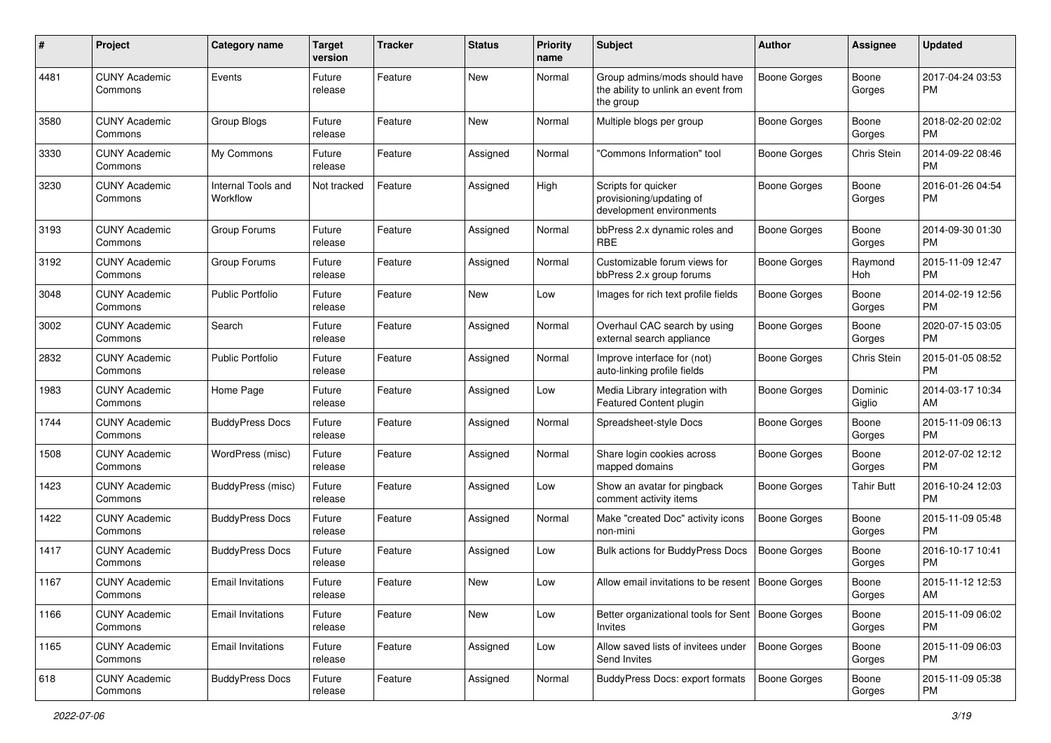| #    | Project                         | <b>Category name</b>           | <b>Target</b><br>version | <b>Tracker</b> | <b>Status</b> | <b>Priority</b><br>name | <b>Subject</b>                                                                    | Author              | <b>Assignee</b>   | <b>Updated</b>                |
|------|---------------------------------|--------------------------------|--------------------------|----------------|---------------|-------------------------|-----------------------------------------------------------------------------------|---------------------|-------------------|-------------------------------|
| 4481 | <b>CUNY Academic</b><br>Commons | Events                         | Future<br>release        | Feature        | New           | Normal                  | Group admins/mods should have<br>the ability to unlink an event from<br>the group | <b>Boone Gorges</b> | Boone<br>Gorges   | 2017-04-24 03:53<br><b>PM</b> |
| 3580 | <b>CUNY Academic</b><br>Commons | Group Blogs                    | Future<br>release        | Feature        | New           | Normal                  | Multiple blogs per group                                                          | Boone Gorges        | Boone<br>Gorges   | 2018-02-20 02:02<br><b>PM</b> |
| 3330 | <b>CUNY Academic</b><br>Commons | My Commons                     | Future<br>release        | Feature        | Assigned      | Normal                  | 'Commons Information" tool                                                        | <b>Boone Gorges</b> | Chris Stein       | 2014-09-22 08:46<br><b>PM</b> |
| 3230 | <b>CUNY Academic</b><br>Commons | Internal Tools and<br>Workflow | Not tracked              | Feature        | Assigned      | High                    | Scripts for quicker<br>provisioning/updating of<br>development environments       | Boone Gorges        | Boone<br>Gorges   | 2016-01-26 04:54<br><b>PM</b> |
| 3193 | <b>CUNY Academic</b><br>Commons | Group Forums                   | Future<br>release        | Feature        | Assigned      | Normal                  | bbPress 2.x dynamic roles and<br>RBE                                              | Boone Gorges        | Boone<br>Gorges   | 2014-09-30 01:30<br><b>PM</b> |
| 3192 | <b>CUNY Academic</b><br>Commons | Group Forums                   | Future<br>release        | Feature        | Assigned      | Normal                  | Customizable forum views for<br>bbPress 2.x group forums                          | Boone Gorges        | Raymond<br>Hoh    | 2015-11-09 12:47<br><b>PM</b> |
| 3048 | <b>CUNY Academic</b><br>Commons | Public Portfolio               | Future<br>release        | Feature        | New           | Low                     | Images for rich text profile fields                                               | Boone Gorges        | Boone<br>Gorges   | 2014-02-19 12:56<br><b>PM</b> |
| 3002 | <b>CUNY Academic</b><br>Commons | Search                         | Future<br>release        | Feature        | Assigned      | Normal                  | Overhaul CAC search by using<br>external search appliance                         | <b>Boone Gorges</b> | Boone<br>Gorges   | 2020-07-15 03:05<br><b>PM</b> |
| 2832 | <b>CUNY Academic</b><br>Commons | Public Portfolio               | Future<br>release        | Feature        | Assigned      | Normal                  | Improve interface for (not)<br>auto-linking profile fields                        | Boone Gorges        | Chris Stein       | 2015-01-05 08:52<br><b>PM</b> |
| 1983 | <b>CUNY Academic</b><br>Commons | Home Page                      | Future<br>release        | Feature        | Assigned      | Low                     | Media Library integration with<br>Featured Content plugin                         | <b>Boone Gorges</b> | Dominic<br>Giglio | 2014-03-17 10:34<br>AM        |
| 1744 | <b>CUNY Academic</b><br>Commons | <b>BuddyPress Docs</b>         | Future<br>release        | Feature        | Assigned      | Normal                  | Spreadsheet-style Docs                                                            | <b>Boone Gorges</b> | Boone<br>Gorges   | 2015-11-09 06:13<br><b>PM</b> |
| 1508 | <b>CUNY Academic</b><br>Commons | WordPress (misc)               | Future<br>release        | Feature        | Assigned      | Normal                  | Share login cookies across<br>mapped domains                                      | Boone Gorges        | Boone<br>Gorges   | 2012-07-02 12:12<br><b>PM</b> |
| 1423 | <b>CUNY Academic</b><br>Commons | BuddyPress (misc)              | Future<br>release        | Feature        | Assigned      | Low                     | Show an avatar for pingback<br>comment activity items                             | Boone Gorges        | Tahir Butt        | 2016-10-24 12:03<br><b>PM</b> |
| 1422 | <b>CUNY Academic</b><br>Commons | <b>BuddyPress Docs</b>         | Future<br>release        | Feature        | Assigned      | Normal                  | Make "created Doc" activity icons<br>non-mini                                     | Boone Gorges        | Boone<br>Gorges   | 2015-11-09 05:48<br><b>PM</b> |
| 1417 | <b>CUNY Academic</b><br>Commons | <b>BuddyPress Docs</b>         | Future<br>release        | Feature        | Assigned      | Low                     | <b>Bulk actions for BuddyPress Docs</b>                                           | <b>Boone Gorges</b> | Boone<br>Gorges   | 2016-10-17 10:41<br><b>PM</b> |
| 1167 | <b>CUNY Academic</b><br>Commons | <b>Email Invitations</b>       | Future<br>release        | Feature        | New           | Low                     | Allow email invitations to be resent   Boone Gorges                               |                     | Boone<br>Gorges   | 2015-11-12 12:53<br>AM        |
| 1166 | <b>CUNY Academic</b><br>Commons | <b>Email Invitations</b>       | Future<br>release        | Feature        | New           | Low                     | Better organizational tools for Sent   Boone Gorges<br>Invites                    |                     | Boone<br>Gorges   | 2015-11-09 06:02<br>PM        |
| 1165 | <b>CUNY Academic</b><br>Commons | <b>Email Invitations</b>       | Future<br>release        | Feature        | Assigned      | Low                     | Allow saved lists of invitees under<br>Send Invites                               | Boone Gorges        | Boone<br>Gorges   | 2015-11-09 06:03<br><b>PM</b> |
| 618  | <b>CUNY Academic</b><br>Commons | <b>BuddyPress Docs</b>         | Future<br>release        | Feature        | Assigned      | Normal                  | <b>BuddyPress Docs: export formats</b>                                            | Boone Gorges        | Boone<br>Gorges   | 2015-11-09 05:38<br><b>PM</b> |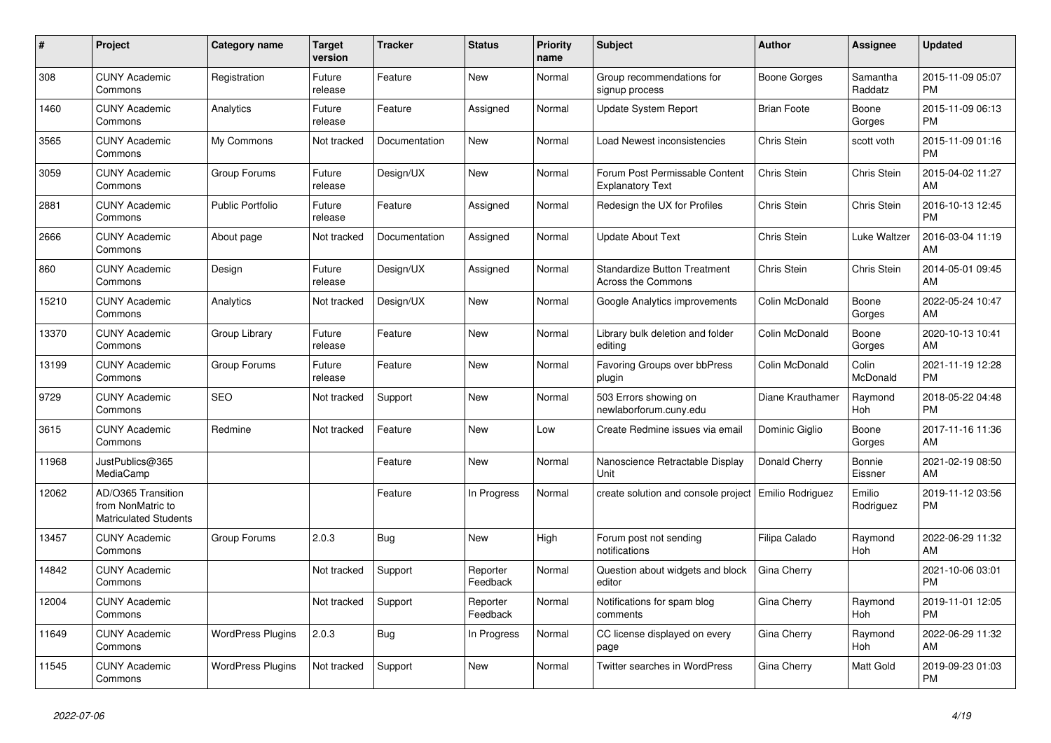| $\#$  | Project                                                          | <b>Category name</b>     | <b>Target</b><br>version | <b>Tracker</b> | <b>Status</b>        | <b>Priority</b><br>name | <b>Subject</b>                                            | <b>Author</b>      | Assignee            | <b>Updated</b>                |
|-------|------------------------------------------------------------------|--------------------------|--------------------------|----------------|----------------------|-------------------------|-----------------------------------------------------------|--------------------|---------------------|-------------------------------|
| 308   | <b>CUNY Academic</b><br>Commons                                  | Registration             | Future<br>release        | Feature        | <b>New</b>           | Normal                  | Group recommendations for<br>signup process               | Boone Gorges       | Samantha<br>Raddatz | 2015-11-09 05:07<br><b>PM</b> |
| 1460  | <b>CUNY Academic</b><br>Commons                                  | Analytics                | Future<br>release        | Feature        | Assigned             | Normal                  | <b>Update System Report</b>                               | <b>Brian Foote</b> | Boone<br>Gorges     | 2015-11-09 06:13<br><b>PM</b> |
| 3565  | <b>CUNY Academic</b><br>Commons                                  | My Commons               | Not tracked              | Documentation  | New                  | Normal                  | Load Newest inconsistencies                               | Chris Stein        | scott voth          | 2015-11-09 01:16<br><b>PM</b> |
| 3059  | <b>CUNY Academic</b><br>Commons                                  | Group Forums             | Future<br>release        | Design/UX      | <b>New</b>           | Normal                  | Forum Post Permissable Content<br><b>Explanatory Text</b> | Chris Stein        | Chris Stein         | 2015-04-02 11:27<br>AM        |
| 2881  | <b>CUNY Academic</b><br>Commons                                  | <b>Public Portfolio</b>  | Future<br>release        | Feature        | Assigned             | Normal                  | Redesign the UX for Profiles                              | Chris Stein        | Chris Stein         | 2016-10-13 12:45<br><b>PM</b> |
| 2666  | <b>CUNY Academic</b><br>Commons                                  | About page               | Not tracked              | Documentation  | Assigned             | Normal                  | <b>Update About Text</b>                                  | Chris Stein        | Luke Waltzer        | 2016-03-04 11:19<br>AM        |
| 860   | <b>CUNY Academic</b><br>Commons                                  | Design                   | Future<br>release        | Design/UX      | Assigned             | Normal                  | <b>Standardize Button Treatment</b><br>Across the Commons | Chris Stein        | Chris Stein         | 2014-05-01 09:45<br>AM        |
| 15210 | <b>CUNY Academic</b><br>Commons                                  | Analytics                | Not tracked              | Design/UX      | <b>New</b>           | Normal                  | Google Analytics improvements                             | Colin McDonald     | Boone<br>Gorges     | 2022-05-24 10:47<br>AM        |
| 13370 | <b>CUNY Academic</b><br>Commons                                  | Group Library            | Future<br>release        | Feature        | <b>New</b>           | Normal                  | Library bulk deletion and folder<br>editing               | Colin McDonald     | Boone<br>Gorges     | 2020-10-13 10:41<br>AM        |
| 13199 | <b>CUNY Academic</b><br>Commons                                  | Group Forums             | Future<br>release        | Feature        | <b>New</b>           | Normal                  | Favoring Groups over bbPress<br>plugin                    | Colin McDonald     | Colin<br>McDonald   | 2021-11-19 12:28<br><b>PM</b> |
| 9729  | <b>CUNY Academic</b><br>Commons                                  | <b>SEO</b>               | Not tracked              | Support        | <b>New</b>           | Normal                  | 503 Errors showing on<br>newlaborforum.cuny.edu           | Diane Krauthamer   | Raymond<br>Hoh      | 2018-05-22 04:48<br><b>PM</b> |
| 3615  | <b>CUNY Academic</b><br>Commons                                  | Redmine                  | Not tracked              | Feature        | New                  | Low                     | Create Redmine issues via email                           | Dominic Giglio     | Boone<br>Gorges     | 2017-11-16 11:36<br>AM        |
| 11968 | JustPublics@365<br>MediaCamp                                     |                          |                          | Feature        | <b>New</b>           | Normal                  | Nanoscience Retractable Display<br>Unit                   | Donald Cherry      | Bonnie<br>Eissner   | 2021-02-19 08:50<br>AM        |
| 12062 | AD/O365 Transition<br>from NonMatric to<br>Matriculated Students |                          |                          | Feature        | In Progress          | Normal                  | create solution and console project                       | Emilio Rodriguez   | Emilio<br>Rodriguez | 2019-11-12 03:56<br>PM        |
| 13457 | <b>CUNY Academic</b><br>Commons                                  | Group Forums             | 2.0.3                    | <b>Bug</b>     | <b>New</b>           | High                    | Forum post not sending<br>notifications                   | Filipa Calado      | Raymond<br>Hoh      | 2022-06-29 11:32<br>AM        |
| 14842 | <b>CUNY Academic</b><br>Commons                                  |                          | Not tracked              | Support        | Reporter<br>Feedback | Normal                  | Question about widgets and block<br>editor                | Gina Cherry        |                     | 2021-10-06 03:01<br><b>PM</b> |
| 12004 | <b>CUNY Academic</b><br>Commons                                  |                          | Not tracked              | Support        | Reporter<br>Feedback | Normal                  | Notifications for spam blog<br>comments                   | Gina Cherry        | Raymond<br>Hoh      | 2019-11-01 12:05<br><b>PM</b> |
| 11649 | <b>CUNY Academic</b><br>Commons                                  | <b>WordPress Plugins</b> | 2.0.3                    | <b>Bug</b>     | In Progress          | Normal                  | CC license displayed on every<br>page                     | Gina Cherry        | Raymond<br>Hoh      | 2022-06-29 11:32<br>AM        |
| 11545 | <b>CUNY Academic</b><br>Commons                                  | <b>WordPress Plugins</b> | Not tracked              | Support        | <b>New</b>           | Normal                  | Twitter searches in WordPress                             | Gina Cherry        | Matt Gold           | 2019-09-23 01:03<br><b>PM</b> |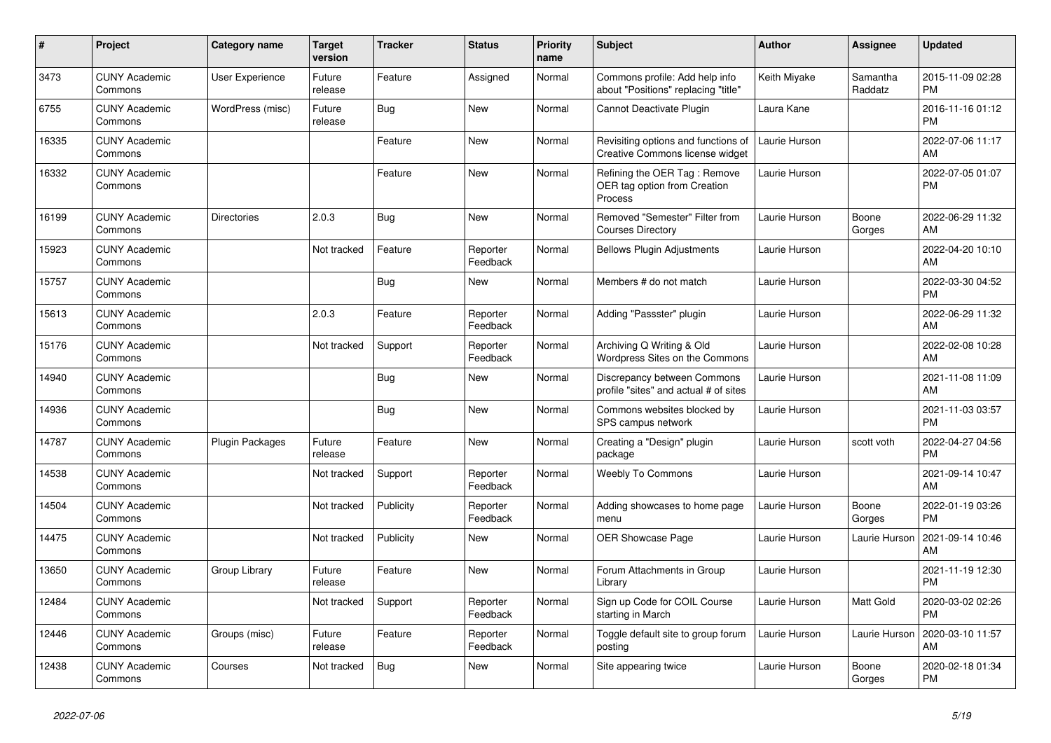| #     | Project                         | <b>Category name</b>   | <b>Target</b><br>version | <b>Tracker</b> | <b>Status</b>        | <b>Priority</b><br>name | <b>Subject</b>                                                          | <b>Author</b> | Assignee            | <b>Updated</b>                |
|-------|---------------------------------|------------------------|--------------------------|----------------|----------------------|-------------------------|-------------------------------------------------------------------------|---------------|---------------------|-------------------------------|
| 3473  | <b>CUNY Academic</b><br>Commons | User Experience        | Future<br>release        | Feature        | Assigned             | Normal                  | Commons profile: Add help info<br>about "Positions" replacing "title"   | Keith Miyake  | Samantha<br>Raddatz | 2015-11-09 02:28<br><b>PM</b> |
| 6755  | <b>CUNY Academic</b><br>Commons | WordPress (misc)       | Future<br>release        | Bug            | <b>New</b>           | Normal                  | Cannot Deactivate Plugin                                                | Laura Kane    |                     | 2016-11-16 01:12<br><b>PM</b> |
| 16335 | <b>CUNY Academic</b><br>Commons |                        |                          | Feature        | New                  | Normal                  | Revisiting options and functions of<br>Creative Commons license widget  | Laurie Hurson |                     | 2022-07-06 11:17<br>AM        |
| 16332 | <b>CUNY Academic</b><br>Commons |                        |                          | Feature        | New                  | Normal                  | Refining the OER Tag: Remove<br>OER tag option from Creation<br>Process | Laurie Hurson |                     | 2022-07-05 01:07<br><b>PM</b> |
| 16199 | <b>CUNY Academic</b><br>Commons | <b>Directories</b>     | 2.0.3                    | Bug            | <b>New</b>           | Normal                  | Removed "Semester" Filter from<br><b>Courses Directory</b>              | Laurie Hurson | Boone<br>Gorges     | 2022-06-29 11:32<br>AM        |
| 15923 | <b>CUNY Academic</b><br>Commons |                        | Not tracked              | Feature        | Reporter<br>Feedback | Normal                  | <b>Bellows Plugin Adjustments</b>                                       | Laurie Hurson |                     | 2022-04-20 10:10<br>AM        |
| 15757 | <b>CUNY Academic</b><br>Commons |                        |                          | <b>Bug</b>     | <b>New</b>           | Normal                  | Members # do not match                                                  | Laurie Hurson |                     | 2022-03-30 04:52<br>PM        |
| 15613 | <b>CUNY Academic</b><br>Commons |                        | 2.0.3                    | Feature        | Reporter<br>Feedback | Normal                  | Adding "Passster" plugin                                                | Laurie Hurson |                     | 2022-06-29 11:32<br>AM        |
| 15176 | <b>CUNY Academic</b><br>Commons |                        | Not tracked              | Support        | Reporter<br>Feedback | Normal                  | Archiving Q Writing & Old<br>Wordpress Sites on the Commons             | Laurie Hurson |                     | 2022-02-08 10:28<br>AM        |
| 14940 | <b>CUNY Academic</b><br>Commons |                        |                          | <b>Bug</b>     | <b>New</b>           | Normal                  | Discrepancy between Commons<br>profile "sites" and actual # of sites    | Laurie Hurson |                     | 2021-11-08 11:09<br>AM        |
| 14936 | <b>CUNY Academic</b><br>Commons |                        |                          | Bug            | <b>New</b>           | Normal                  | Commons websites blocked by<br>SPS campus network                       | Laurie Hurson |                     | 2021-11-03 03:57<br><b>PM</b> |
| 14787 | <b>CUNY Academic</b><br>Commons | <b>Plugin Packages</b> | Future<br>release        | Feature        | New                  | Normal                  | Creating a "Design" plugin<br>package                                   | Laurie Hurson | scott voth          | 2022-04-27 04:56<br><b>PM</b> |
| 14538 | <b>CUNY Academic</b><br>Commons |                        | Not tracked              | Support        | Reporter<br>Feedback | Normal                  | <b>Weebly To Commons</b>                                                | Laurie Hurson |                     | 2021-09-14 10:47<br>AM        |
| 14504 | <b>CUNY Academic</b><br>Commons |                        | Not tracked              | Publicity      | Reporter<br>Feedback | Normal                  | Adding showcases to home page<br>menu                                   | Laurie Hurson | Boone<br>Gorges     | 2022-01-19 03:26<br><b>PM</b> |
| 14475 | <b>CUNY Academic</b><br>Commons |                        | Not tracked              | Publicity      | <b>New</b>           | Normal                  | OER Showcase Page                                                       | Laurie Hurson | Laurie Hurson       | 2021-09-14 10:46<br>AM        |
| 13650 | <b>CUNY Academic</b><br>Commons | Group Library          | Future<br>release        | Feature        | <b>New</b>           | Normal                  | Forum Attachments in Group<br>Library                                   | Laurie Hurson |                     | 2021-11-19 12:30<br><b>PM</b> |
| 12484 | <b>CUNY Academic</b><br>Commons |                        | Not tracked              | Support        | Reporter<br>Feedback | Normal                  | Sign up Code for COIL Course<br>starting in March                       | Laurie Hurson | Matt Gold           | 2020-03-02 02:26<br><b>PM</b> |
| 12446 | <b>CUNY Academic</b><br>Commons | Groups (misc)          | Future<br>release        | Feature        | Reporter<br>Feedback | Normal                  | Toggle default site to group forum<br>posting                           | Laurie Hurson | Laurie Hurson       | 2020-03-10 11:57<br>AM        |
| 12438 | <b>CUNY Academic</b><br>Commons | Courses                | Not tracked              | Bug            | <b>New</b>           | Normal                  | Site appearing twice                                                    | Laurie Hurson | Boone<br>Gorges     | 2020-02-18 01:34<br><b>PM</b> |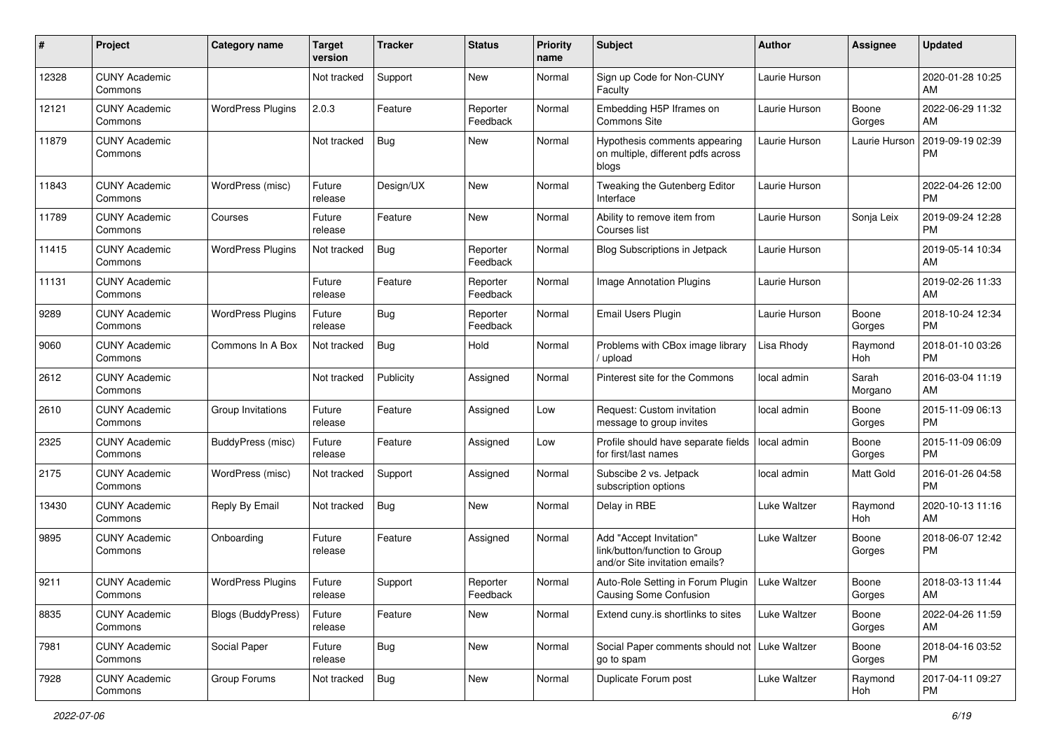| #     | Project                         | <b>Category name</b>      | <b>Target</b><br>version | <b>Tracker</b> | <b>Status</b>        | <b>Priority</b><br>name | <b>Subject</b>                                                                             | <b>Author</b> | <b>Assignee</b>  | <b>Updated</b>                |
|-------|---------------------------------|---------------------------|--------------------------|----------------|----------------------|-------------------------|--------------------------------------------------------------------------------------------|---------------|------------------|-------------------------------|
| 12328 | <b>CUNY Academic</b><br>Commons |                           | Not tracked              | Support        | New                  | Normal                  | Sign up Code for Non-CUNY<br>Faculty                                                       | Laurie Hurson |                  | 2020-01-28 10:25<br>AM        |
| 12121 | <b>CUNY Academic</b><br>Commons | <b>WordPress Plugins</b>  | 2.0.3                    | Feature        | Reporter<br>Feedback | Normal                  | Embedding H5P Iframes on<br>Commons Site                                                   | Laurie Hurson | Boone<br>Gorges  | 2022-06-29 11:32<br>AM        |
| 11879 | <b>CUNY Academic</b><br>Commons |                           | Not tracked              | Bug            | New                  | Normal                  | Hypothesis comments appearing<br>on multiple, different pdfs across<br>blogs               | Laurie Hurson | Laurie Hurson    | 2019-09-19 02:39<br><b>PM</b> |
| 11843 | <b>CUNY Academic</b><br>Commons | WordPress (misc)          | Future<br>release        | Design/UX      | New                  | Normal                  | Tweaking the Gutenberg Editor<br>Interface                                                 | Laurie Hurson |                  | 2022-04-26 12:00<br><b>PM</b> |
| 11789 | <b>CUNY Academic</b><br>Commons | Courses                   | Future<br>release        | Feature        | New                  | Normal                  | Ability to remove item from<br>Courses list                                                | Laurie Hurson | Sonja Leix       | 2019-09-24 12:28<br><b>PM</b> |
| 11415 | <b>CUNY Academic</b><br>Commons | <b>WordPress Plugins</b>  | Not tracked              | Bug            | Reporter<br>Feedback | Normal                  | Blog Subscriptions in Jetpack                                                              | Laurie Hurson |                  | 2019-05-14 10:34<br>AM        |
| 11131 | <b>CUNY Academic</b><br>Commons |                           | Future<br>release        | Feature        | Reporter<br>Feedback | Normal                  | Image Annotation Plugins                                                                   | Laurie Hurson |                  | 2019-02-26 11:33<br>AM        |
| 9289  | <b>CUNY Academic</b><br>Commons | <b>WordPress Plugins</b>  | Future<br>release        | Bug            | Reporter<br>Feedback | Normal                  | Email Users Plugin                                                                         | Laurie Hurson | Boone<br>Gorges  | 2018-10-24 12:34<br><b>PM</b> |
| 9060  | <b>CUNY Academic</b><br>Commons | Commons In A Box          | Not tracked              | Bug            | Hold                 | Normal                  | Problems with CBox image library<br>upload                                                 | Lisa Rhody    | Raymond<br>Hoh   | 2018-01-10 03:26<br><b>PM</b> |
| 2612  | <b>CUNY Academic</b><br>Commons |                           | Not tracked              | Publicity      | Assigned             | Normal                  | Pinterest site for the Commons                                                             | local admin   | Sarah<br>Morgano | 2016-03-04 11:19<br>AM        |
| 2610  | <b>CUNY Academic</b><br>Commons | Group Invitations         | Future<br>release        | Feature        | Assigned             | Low                     | Request: Custom invitation<br>message to group invites                                     | local admin   | Boone<br>Gorges  | 2015-11-09 06:13<br><b>PM</b> |
| 2325  | <b>CUNY Academic</b><br>Commons | BuddyPress (misc)         | Future<br>release        | Feature        | Assigned             | Low                     | Profile should have separate fields<br>for first/last names                                | local admin   | Boone<br>Gorges  | 2015-11-09 06:09<br><b>PM</b> |
| 2175  | <b>CUNY Academic</b><br>Commons | WordPress (misc)          | Not tracked              | Support        | Assigned             | Normal                  | Subscibe 2 vs. Jetpack<br>subscription options                                             | local admin   | Matt Gold        | 2016-01-26 04:58<br><b>PM</b> |
| 13430 | <b>CUNY Academic</b><br>Commons | Reply By Email            | Not tracked              | Bug            | New                  | Normal                  | Delay in RBE                                                                               | Luke Waltzer  | Raymond<br>Hoh   | 2020-10-13 11:16<br>AM        |
| 9895  | <b>CUNY Academic</b><br>Commons | Onboarding                | Future<br>release        | Feature        | Assigned             | Normal                  | Add "Accept Invitation"<br>link/button/function to Group<br>and/or Site invitation emails? | Luke Waltzer  | Boone<br>Gorges  | 2018-06-07 12:42<br><b>PM</b> |
| 9211  | <b>CUNY Academic</b><br>Commons | <b>WordPress Plugins</b>  | Future<br>release        | Support        | Reporter<br>Feedback | Normal                  | Auto-Role Setting in Forum Plugin<br><b>Causing Some Confusion</b>                         | Luke Waltzer  | Boone<br>Gorges  | 2018-03-13 11:44<br>AM        |
| 8835  | <b>CUNY Academic</b><br>Commons | <b>Blogs (BuddyPress)</b> | Future<br>release        | Feature        | New                  | Normal                  | Extend cuny is shortlinks to sites                                                         | Luke Waltzer  | Boone<br>Gorges  | 2022-04-26 11:59<br>AM        |
| 7981  | <b>CUNY Academic</b><br>Commons | Social Paper              | Future<br>release        | Bug            | New                  | Normal                  | Social Paper comments should not   Luke Waltzer<br>go to spam                              |               | Boone<br>Gorges  | 2018-04-16 03:52<br>PM        |
| 7928  | <b>CUNY Academic</b><br>Commons | Group Forums              | Not tracked              | Bug            | New                  | Normal                  | Duplicate Forum post                                                                       | Luke Waltzer  | Raymond<br>Hoh   | 2017-04-11 09:27<br><b>PM</b> |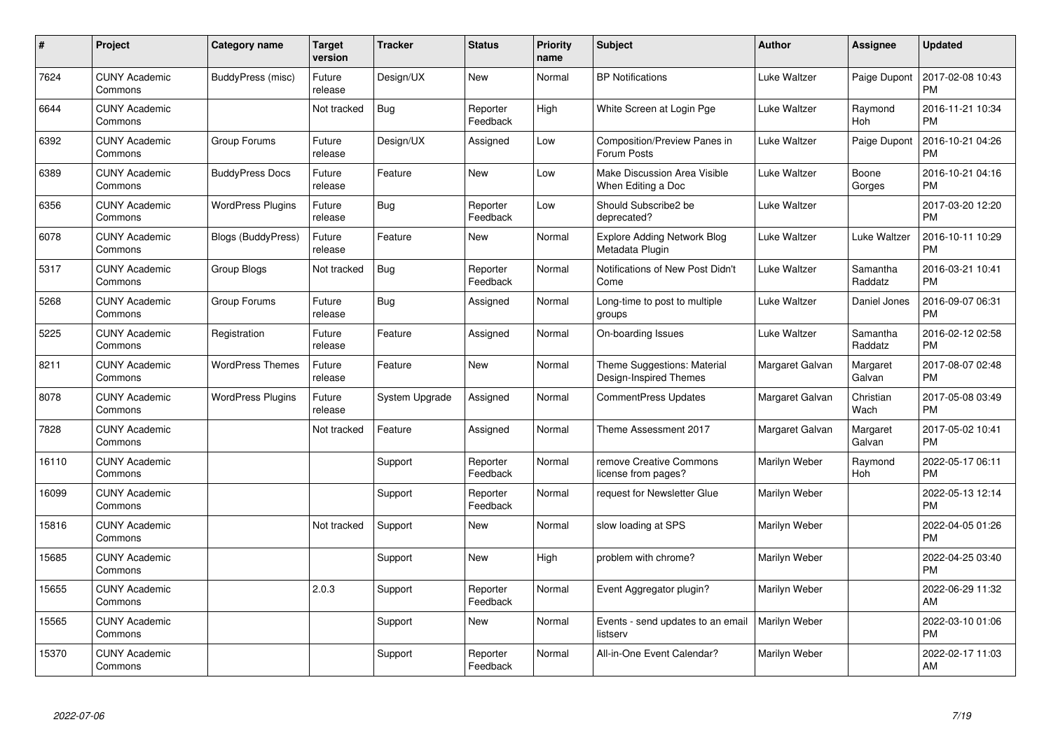| #     | Project                         | <b>Category name</b>      | Target<br>version | <b>Tracker</b> | <b>Status</b>        | <b>Priority</b><br>name | <b>Subject</b>                                        | <b>Author</b>       | <b>Assignee</b>     | <b>Updated</b>                |
|-------|---------------------------------|---------------------------|-------------------|----------------|----------------------|-------------------------|-------------------------------------------------------|---------------------|---------------------|-------------------------------|
| 7624  | <b>CUNY Academic</b><br>Commons | BuddyPress (misc)         | Future<br>release | Design/UX      | <b>New</b>           | Normal                  | <b>BP</b> Notifications                               | <b>Luke Waltzer</b> | Paige Dupont        | 2017-02-08 10:43<br><b>PM</b> |
| 6644  | <b>CUNY Academic</b><br>Commons |                           | Not tracked       | Bug            | Reporter<br>Feedback | High                    | White Screen at Login Pge                             | <b>Luke Waltzer</b> | Raymond<br>Hoh      | 2016-11-21 10:34<br><b>PM</b> |
| 6392  | <b>CUNY Academic</b><br>Commons | Group Forums              | Future<br>release | Design/UX      | Assigned             | Low                     | Composition/Preview Panes in<br>Forum Posts           | Luke Waltzer        | Paige Dupont        | 2016-10-21 04:26<br><b>PM</b> |
| 6389  | <b>CUNY Academic</b><br>Commons | <b>BuddyPress Docs</b>    | Future<br>release | Feature        | <b>New</b>           | Low                     | Make Discussion Area Visible<br>When Editing a Doc    | Luke Waltzer        | Boone<br>Gorges     | 2016-10-21 04:16<br><b>PM</b> |
| 6356  | <b>CUNY Academic</b><br>Commons | <b>WordPress Plugins</b>  | Future<br>release | Bug            | Reporter<br>Feedback | Low                     | Should Subscribe2 be<br>deprecated?                   | Luke Waltzer        |                     | 2017-03-20 12:20<br><b>PM</b> |
| 6078  | <b>CUNY Academic</b><br>Commons | <b>Blogs (BuddyPress)</b> | Future<br>release | Feature        | New                  | Normal                  | <b>Explore Adding Network Blog</b><br>Metadata Plugin | Luke Waltzer        | Luke Waltzer        | 2016-10-11 10:29<br><b>PM</b> |
| 5317  | <b>CUNY Academic</b><br>Commons | Group Blogs               | Not tracked       | <b>Bug</b>     | Reporter<br>Feedback | Normal                  | Notifications of New Post Didn't<br>Come              | Luke Waltzer        | Samantha<br>Raddatz | 2016-03-21 10:41<br><b>PM</b> |
| 5268  | <b>CUNY Academic</b><br>Commons | Group Forums              | Future<br>release | Bug            | Assigned             | Normal                  | Long-time to post to multiple<br>groups               | Luke Waltzer        | Daniel Jones        | 2016-09-07 06:31<br><b>PM</b> |
| 5225  | <b>CUNY Academic</b><br>Commons | Registration              | Future<br>release | Feature        | Assigned             | Normal                  | On-boarding Issues                                    | Luke Waltzer        | Samantha<br>Raddatz | 2016-02-12 02:58<br><b>PM</b> |
| 8211  | <b>CUNY Academic</b><br>Commons | <b>WordPress Themes</b>   | Future<br>release | Feature        | New                  | Normal                  | Theme Suggestions: Material<br>Design-Inspired Themes | Margaret Galvan     | Margaret<br>Galvan  | 2017-08-07 02:48<br><b>PM</b> |
| 8078  | <b>CUNY Academic</b><br>Commons | <b>WordPress Plugins</b>  | Future<br>release | System Upgrade | Assigned             | Normal                  | <b>CommentPress Updates</b>                           | Margaret Galvan     | Christian<br>Wach   | 2017-05-08 03:49<br><b>PM</b> |
| 7828  | <b>CUNY Academic</b><br>Commons |                           | Not tracked       | Feature        | Assigned             | Normal                  | Theme Assessment 2017                                 | Margaret Galvan     | Margaret<br>Galvan  | 2017-05-02 10:41<br><b>PM</b> |
| 16110 | <b>CUNY Academic</b><br>Commons |                           |                   | Support        | Reporter<br>Feedback | Normal                  | remove Creative Commons<br>license from pages?        | Marilyn Weber       | Raymond<br>Hoh      | 2022-05-17 06:11<br><b>PM</b> |
| 16099 | <b>CUNY Academic</b><br>Commons |                           |                   | Support        | Reporter<br>Feedback | Normal                  | request for Newsletter Glue                           | Marilyn Weber       |                     | 2022-05-13 12:14<br><b>PM</b> |
| 15816 | <b>CUNY Academic</b><br>Commons |                           | Not tracked       | Support        | New                  | Normal                  | slow loading at SPS                                   | Marilyn Weber       |                     | 2022-04-05 01:26<br><b>PM</b> |
| 15685 | <b>CUNY Academic</b><br>Commons |                           |                   | Support        | New                  | High                    | problem with chrome?                                  | Marilyn Weber       |                     | 2022-04-25 03:40<br><b>PM</b> |
| 15655 | <b>CUNY Academic</b><br>Commons |                           | 2.0.3             | Support        | Reporter<br>Feedback | Normal                  | Event Aggregator plugin?                              | Marilyn Weber       |                     | 2022-06-29 11:32<br>AM        |
| 15565 | <b>CUNY Academic</b><br>Commons |                           |                   | Support        | New                  | Normal                  | Events - send updates to an email<br>listserv         | Marilyn Weber       |                     | 2022-03-10 01:06<br><b>PM</b> |
| 15370 | <b>CUNY Academic</b><br>Commons |                           |                   | Support        | Reporter<br>Feedback | Normal                  | All-in-One Event Calendar?                            | Marilyn Weber       |                     | 2022-02-17 11:03<br>AM        |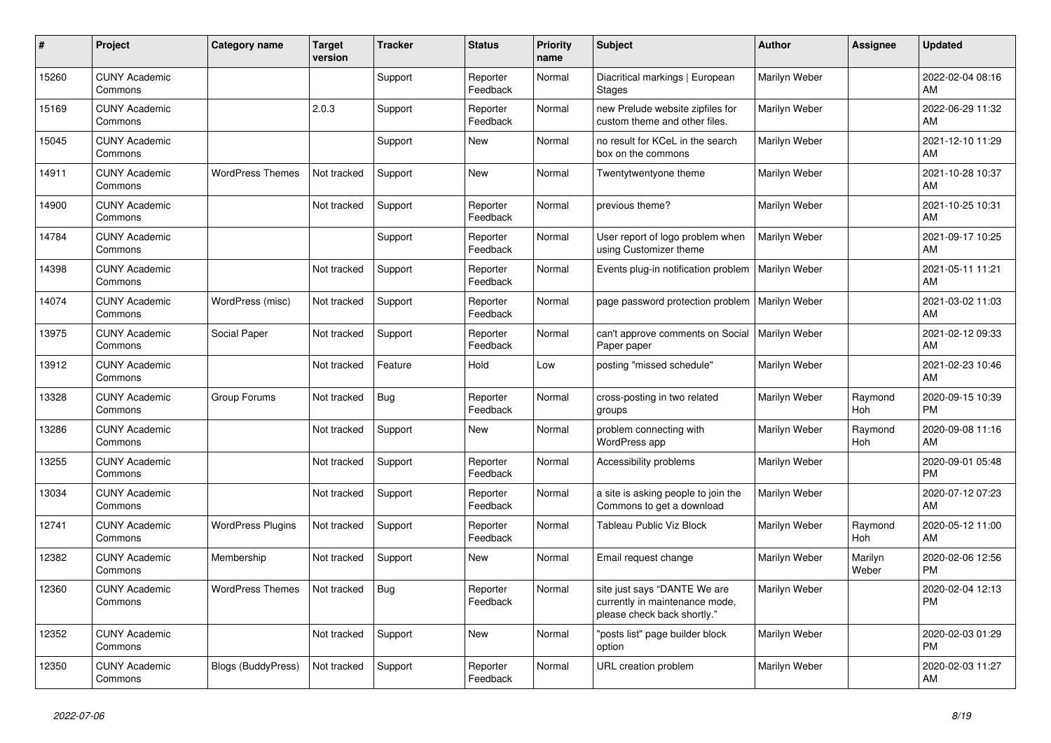| #     | Project                         | <b>Category name</b>      | <b>Target</b><br>version | <b>Tracker</b> | <b>Status</b>        | <b>Priority</b><br>name | <b>Subject</b>                                                                                | <b>Author</b> | Assignee         | <b>Updated</b>                |
|-------|---------------------------------|---------------------------|--------------------------|----------------|----------------------|-------------------------|-----------------------------------------------------------------------------------------------|---------------|------------------|-------------------------------|
| 15260 | <b>CUNY Academic</b><br>Commons |                           |                          | Support        | Reporter<br>Feedback | Normal                  | Diacritical markings   European<br><b>Stages</b>                                              | Marilyn Weber |                  | 2022-02-04 08:16<br>AM        |
| 15169 | <b>CUNY Academic</b><br>Commons |                           | 2.0.3                    | Support        | Reporter<br>Feedback | Normal                  | new Prelude website zipfiles for<br>custom theme and other files.                             | Marilyn Weber |                  | 2022-06-29 11:32<br>AM        |
| 15045 | <b>CUNY Academic</b><br>Commons |                           |                          | Support        | New                  | Normal                  | no result for KCeL in the search<br>box on the commons                                        | Marilyn Weber |                  | 2021-12-10 11:29<br>AM        |
| 14911 | <b>CUNY Academic</b><br>Commons | <b>WordPress Themes</b>   | Not tracked              | Support        | <b>New</b>           | Normal                  | Twentytwentyone theme                                                                         | Marilyn Weber |                  | 2021-10-28 10:37<br>AM        |
| 14900 | <b>CUNY Academic</b><br>Commons |                           | Not tracked              | Support        | Reporter<br>Feedback | Normal                  | previous theme?                                                                               | Marilyn Weber |                  | 2021-10-25 10:31<br>AM        |
| 14784 | <b>CUNY Academic</b><br>Commons |                           |                          | Support        | Reporter<br>Feedback | Normal                  | User report of logo problem when<br>using Customizer theme                                    | Marilyn Weber |                  | 2021-09-17 10:25<br>AM        |
| 14398 | <b>CUNY Academic</b><br>Commons |                           | Not tracked              | Support        | Reporter<br>Feedback | Normal                  | Events plug-in notification problem                                                           | Marilyn Weber |                  | 2021-05-11 11:21<br>AM        |
| 14074 | <b>CUNY Academic</b><br>Commons | WordPress (misc)          | Not tracked              | Support        | Reporter<br>Feedback | Normal                  | page password protection problem                                                              | Marilyn Weber |                  | 2021-03-02 11:03<br>AM        |
| 13975 | <b>CUNY Academic</b><br>Commons | Social Paper              | Not tracked              | Support        | Reporter<br>Feedback | Normal                  | can't approve comments on Social<br>Paper paper                                               | Marilyn Weber |                  | 2021-02-12 09:33<br>AM        |
| 13912 | <b>CUNY Academic</b><br>Commons |                           | Not tracked              | Feature        | Hold                 | Low                     | posting "missed schedule"                                                                     | Marilyn Weber |                  | 2021-02-23 10:46<br>AM        |
| 13328 | <b>CUNY Academic</b><br>Commons | Group Forums              | Not tracked              | <b>Bug</b>     | Reporter<br>Feedback | Normal                  | cross-posting in two related<br>groups                                                        | Marilyn Weber | Raymond<br>Hoh   | 2020-09-15 10:39<br><b>PM</b> |
| 13286 | <b>CUNY Academic</b><br>Commons |                           | Not tracked              | Support        | New                  | Normal                  | problem connecting with<br>WordPress app                                                      | Marilyn Weber | Raymond<br>Hoh   | 2020-09-08 11:16<br>AM        |
| 13255 | <b>CUNY Academic</b><br>Commons |                           | Not tracked              | Support        | Reporter<br>Feedback | Normal                  | Accessibility problems                                                                        | Marilyn Weber |                  | 2020-09-01 05:48<br><b>PM</b> |
| 13034 | <b>CUNY Academic</b><br>Commons |                           | Not tracked              | Support        | Reporter<br>Feedback | Normal                  | a site is asking people to join the<br>Commons to get a download                              | Marilyn Weber |                  | 2020-07-12 07:23<br>AM        |
| 12741 | <b>CUNY Academic</b><br>Commons | <b>WordPress Plugins</b>  | Not tracked              | Support        | Reporter<br>Feedback | Normal                  | Tableau Public Viz Block                                                                      | Marilyn Weber | Raymond<br>Hoh   | 2020-05-12 11:00<br>AM        |
| 12382 | <b>CUNY Academic</b><br>Commons | Membership                | Not tracked              | Support        | New                  | Normal                  | Email request change                                                                          | Marilyn Weber | Marilyn<br>Weber | 2020-02-06 12:56<br><b>PM</b> |
| 12360 | <b>CUNY Academic</b><br>Commons | <b>WordPress Themes</b>   | Not tracked              | <b>Bug</b>     | Reporter<br>Feedback | Normal                  | site just says "DANTE We are<br>currently in maintenance mode,<br>please check back shortly." | Marilyn Weber |                  | 2020-02-04 12:13<br><b>PM</b> |
| 12352 | <b>CUNY Academic</b><br>Commons |                           | Not tracked              | Support        | New                  | Normal                  | "posts list" page builder block<br>option                                                     | Marilyn Weber |                  | 2020-02-03 01:29<br><b>PM</b> |
| 12350 | <b>CUNY Academic</b><br>Commons | <b>Blogs (BuddyPress)</b> | Not tracked              | Support        | Reporter<br>Feedback | Normal                  | <b>URL</b> creation problem                                                                   | Marilyn Weber |                  | 2020-02-03 11:27<br>AM        |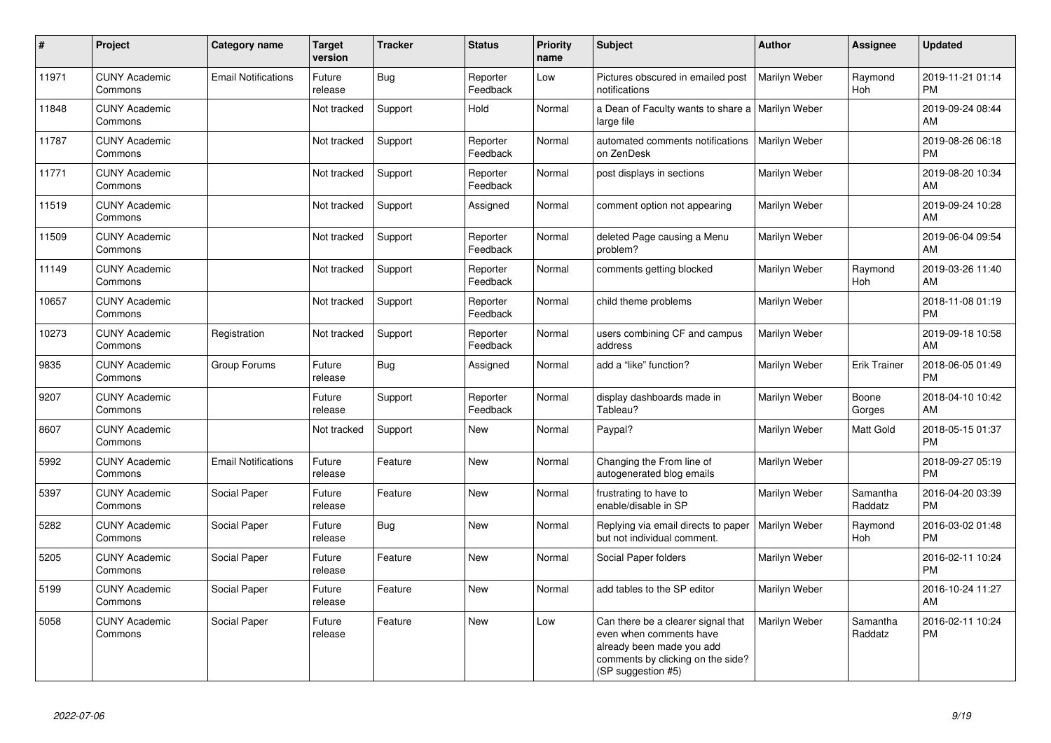| $\pmb{\sharp}$ | Project                         | <b>Category name</b>       | <b>Target</b><br>version | <b>Tracker</b> | <b>Status</b>        | <b>Priority</b><br>name | <b>Subject</b>                                                                                                                                        | Author        | Assignee            | <b>Updated</b>                |
|----------------|---------------------------------|----------------------------|--------------------------|----------------|----------------------|-------------------------|-------------------------------------------------------------------------------------------------------------------------------------------------------|---------------|---------------------|-------------------------------|
| 11971          | <b>CUNY Academic</b><br>Commons | <b>Email Notifications</b> | Future<br>release        | Bug            | Reporter<br>Feedback | Low                     | Pictures obscured in emailed post<br>notifications                                                                                                    | Marilyn Weber | Raymond<br>Hoh      | 2019-11-21 01:14<br><b>PM</b> |
| 11848          | <b>CUNY Academic</b><br>Commons |                            | Not tracked              | Support        | Hold                 | Normal                  | a Dean of Faculty wants to share a   Marilyn Weber<br>large file                                                                                      |               |                     | 2019-09-24 08:44<br>AM        |
| 11787          | <b>CUNY Academic</b><br>Commons |                            | Not tracked              | Support        | Reporter<br>Feedback | Normal                  | automated comments notifications<br>on ZenDesk                                                                                                        | Marilyn Weber |                     | 2019-08-26 06:18<br><b>PM</b> |
| 11771          | <b>CUNY Academic</b><br>Commons |                            | Not tracked              | Support        | Reporter<br>Feedback | Normal                  | post displays in sections                                                                                                                             | Marilyn Weber |                     | 2019-08-20 10:34<br>AM        |
| 11519          | <b>CUNY Academic</b><br>Commons |                            | Not tracked              | Support        | Assigned             | Normal                  | comment option not appearing                                                                                                                          | Marilyn Weber |                     | 2019-09-24 10:28<br>AM        |
| 11509          | <b>CUNY Academic</b><br>Commons |                            | Not tracked              | Support        | Reporter<br>Feedback | Normal                  | deleted Page causing a Menu<br>problem?                                                                                                               | Marilyn Weber |                     | 2019-06-04 09:54<br>AM        |
| 11149          | <b>CUNY Academic</b><br>Commons |                            | Not tracked              | Support        | Reporter<br>Feedback | Normal                  | comments getting blocked                                                                                                                              | Marilyn Weber | Raymond<br>Hoh      | 2019-03-26 11:40<br>AM        |
| 10657          | <b>CUNY Academic</b><br>Commons |                            | Not tracked              | Support        | Reporter<br>Feedback | Normal                  | child theme problems                                                                                                                                  | Marilyn Weber |                     | 2018-11-08 01:19<br><b>PM</b> |
| 10273          | <b>CUNY Academic</b><br>Commons | Registration               | Not tracked              | Support        | Reporter<br>Feedback | Normal                  | users combining CF and campus<br>address                                                                                                              | Marilyn Weber |                     | 2019-09-18 10:58<br>AM        |
| 9835           | <b>CUNY Academic</b><br>Commons | Group Forums               | Future<br>release        | Bug            | Assigned             | Normal                  | add a "like" function?                                                                                                                                | Marilyn Weber | Erik Trainer        | 2018-06-05 01:49<br><b>PM</b> |
| 9207           | <b>CUNY Academic</b><br>Commons |                            | Future<br>release        | Support        | Reporter<br>Feedback | Normal                  | display dashboards made in<br>Tableau?                                                                                                                | Marilyn Weber | Boone<br>Gorges     | 2018-04-10 10:42<br>AM        |
| 8607           | <b>CUNY Academic</b><br>Commons |                            | Not tracked              | Support        | New                  | Normal                  | Paypal?                                                                                                                                               | Marilyn Weber | Matt Gold           | 2018-05-15 01:37<br><b>PM</b> |
| 5992           | <b>CUNY Academic</b><br>Commons | <b>Email Notifications</b> | Future<br>release        | Feature        | New                  | Normal                  | Changing the From line of<br>autogenerated blog emails                                                                                                | Marilyn Weber |                     | 2018-09-27 05:19<br><b>PM</b> |
| 5397           | <b>CUNY Academic</b><br>Commons | Social Paper               | Future<br>release        | Feature        | New                  | Normal                  | frustrating to have to<br>enable/disable in SP                                                                                                        | Marilyn Weber | Samantha<br>Raddatz | 2016-04-20 03:39<br><b>PM</b> |
| 5282           | <b>CUNY Academic</b><br>Commons | Social Paper               | Future<br>release        | Bug            | <b>New</b>           | Normal                  | Replying via email directs to paper<br>but not individual comment.                                                                                    | Marilyn Weber | Raymond<br>Hoh      | 2016-03-02 01:48<br><b>PM</b> |
| 5205           | <b>CUNY Academic</b><br>Commons | Social Paper               | Future<br>release        | Feature        | <b>New</b>           | Normal                  | Social Paper folders                                                                                                                                  | Marilyn Weber |                     | 2016-02-11 10:24<br><b>PM</b> |
| 5199           | <b>CUNY Academic</b><br>Commons | Social Paper               | Future<br>release        | Feature        | New                  | Normal                  | add tables to the SP editor                                                                                                                           | Marilyn Weber |                     | 2016-10-24 11:27<br>AM        |
| 5058           | <b>CUNY Academic</b><br>Commons | Social Paper               | Future<br>release        | Feature        | New                  | Low                     | Can there be a clearer signal that<br>even when comments have<br>already been made you add<br>comments by clicking on the side?<br>(SP suggestion #5) | Marilyn Weber | Samantha<br>Raddatz | 2016-02-11 10:24<br><b>PM</b> |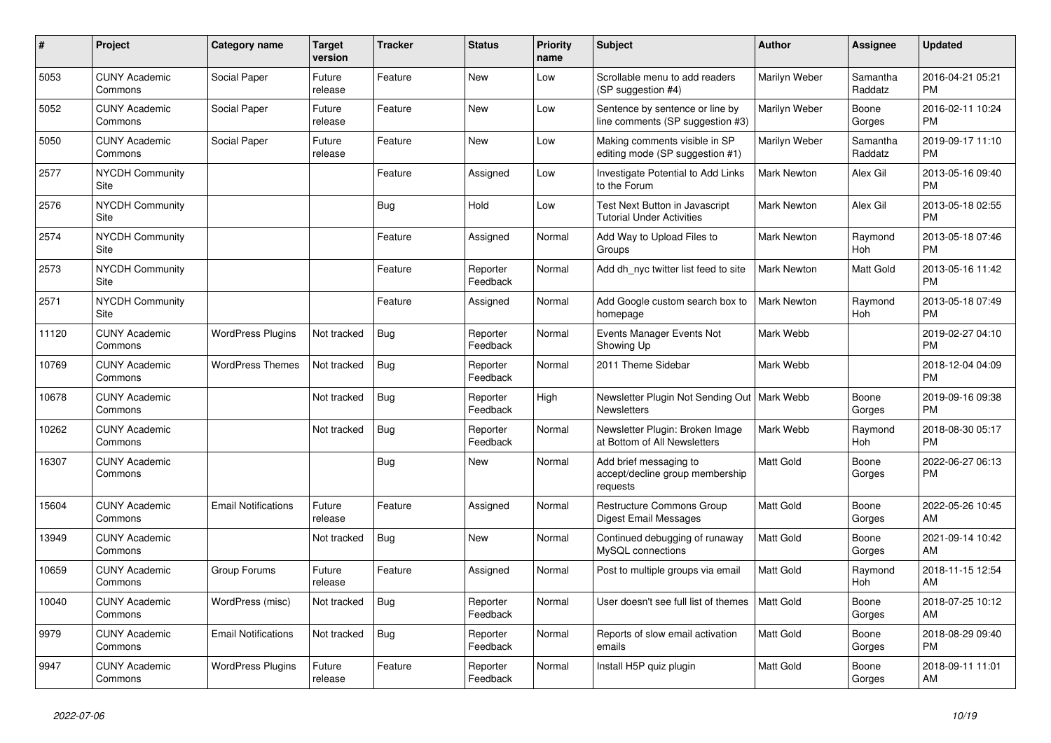| #     | Project                         | <b>Category name</b>       | <b>Target</b><br>version | <b>Tracker</b> | <b>Status</b>        | <b>Priority</b><br>name | <b>Subject</b>                                                        | <b>Author</b>      | Assignee            | <b>Updated</b>                |
|-------|---------------------------------|----------------------------|--------------------------|----------------|----------------------|-------------------------|-----------------------------------------------------------------------|--------------------|---------------------|-------------------------------|
| 5053  | <b>CUNY Academic</b><br>Commons | Social Paper               | Future<br>release        | Feature        | <b>New</b>           | Low                     | Scrollable menu to add readers<br>(SP suggestion #4)                  | Marilyn Weber      | Samantha<br>Raddatz | 2016-04-21 05:21<br><b>PM</b> |
| 5052  | <b>CUNY Academic</b><br>Commons | Social Paper               | Future<br>release        | Feature        | New                  | Low                     | Sentence by sentence or line by<br>line comments (SP suggestion #3)   | Marilyn Weber      | Boone<br>Gorges     | 2016-02-11 10:24<br><b>PM</b> |
| 5050  | <b>CUNY Academic</b><br>Commons | Social Paper               | Future<br>release        | Feature        | <b>New</b>           | Low                     | Making comments visible in SP<br>editing mode (SP suggestion #1)      | Marilyn Weber      | Samantha<br>Raddatz | 2019-09-17 11:10<br><b>PM</b> |
| 2577  | <b>NYCDH Community</b><br>Site  |                            |                          | Feature        | Assigned             | Low                     | Investigate Potential to Add Links<br>to the Forum                    | <b>Mark Newton</b> | Alex Gil            | 2013-05-16 09:40<br><b>PM</b> |
| 2576  | <b>NYCDH Community</b><br>Site  |                            |                          | <b>Bug</b>     | Hold                 | Low                     | Test Next Button in Javascript<br><b>Tutorial Under Activities</b>    | Mark Newton        | Alex Gil            | 2013-05-18 02:55<br><b>PM</b> |
| 2574  | <b>NYCDH Community</b><br>Site  |                            |                          | Feature        | Assigned             | Normal                  | Add Way to Upload Files to<br>Groups                                  | Mark Newton        | Raymond<br>Hoh      | 2013-05-18 07:46<br><b>PM</b> |
| 2573  | <b>NYCDH Community</b><br>Site  |                            |                          | Feature        | Reporter<br>Feedback | Normal                  | Add dh nyc twitter list feed to site                                  | <b>Mark Newton</b> | Matt Gold           | 2013-05-16 11:42<br><b>PM</b> |
| 2571  | <b>NYCDH Community</b><br>Site  |                            |                          | Feature        | Assigned             | Normal                  | Add Google custom search box to<br>homepage                           | <b>Mark Newton</b> | Raymond<br>Hoh      | 2013-05-18 07:49<br><b>PM</b> |
| 11120 | <b>CUNY Academic</b><br>Commons | <b>WordPress Plugins</b>   | Not tracked              | <b>Bug</b>     | Reporter<br>Feedback | Normal                  | Events Manager Events Not<br>Showing Up                               | Mark Webb          |                     | 2019-02-27 04:10<br><b>PM</b> |
| 10769 | <b>CUNY Academic</b><br>Commons | <b>WordPress Themes</b>    | Not tracked              | Bug            | Reporter<br>Feedback | Normal                  | 2011 Theme Sidebar                                                    | Mark Webb          |                     | 2018-12-04 04:09<br><b>PM</b> |
| 10678 | <b>CUNY Academic</b><br>Commons |                            | Not tracked              | Bug            | Reporter<br>Feedback | High                    | Newsletter Plugin Not Sending Out   Mark Webb<br><b>Newsletters</b>   |                    | Boone<br>Gorges     | 2019-09-16 09:38<br><b>PM</b> |
| 10262 | <b>CUNY Academic</b><br>Commons |                            | Not tracked              | <b>Bug</b>     | Reporter<br>Feedback | Normal                  | Newsletter Plugin: Broken Image<br>at Bottom of All Newsletters       | Mark Webb          | Raymond<br>Hoh      | 2018-08-30 05:17<br><b>PM</b> |
| 16307 | <b>CUNY Academic</b><br>Commons |                            |                          | <b>Bug</b>     | New                  | Normal                  | Add brief messaging to<br>accept/decline group membership<br>requests | <b>Matt Gold</b>   | Boone<br>Gorges     | 2022-06-27 06:13<br><b>PM</b> |
| 15604 | <b>CUNY Academic</b><br>Commons | <b>Email Notifications</b> | Future<br>release        | Feature        | Assigned             | Normal                  | Restructure Commons Group<br>Digest Email Messages                    | Matt Gold          | Boone<br>Gorges     | 2022-05-26 10:45<br>AM        |
| 13949 | <b>CUNY Academic</b><br>Commons |                            | Not tracked              | <b>Bug</b>     | <b>New</b>           | Normal                  | Continued debugging of runaway<br>MySQL connections                   | Matt Gold          | Boone<br>Gorges     | 2021-09-14 10:42<br>AM        |
| 10659 | <b>CUNY Academic</b><br>Commons | Group Forums               | Future<br>release        | Feature        | Assigned             | Normal                  | Post to multiple groups via email                                     | Matt Gold          | Raymond<br>Hoh      | 2018-11-15 12:54<br>AM        |
| 10040 | <b>CUNY Academic</b><br>Commons | WordPress (misc)           | Not tracked              | Bug            | Reporter<br>Feedback | Normal                  | User doesn't see full list of themes                                  | <b>Matt Gold</b>   | Boone<br>Gorges     | 2018-07-25 10:12<br>AM        |
| 9979  | <b>CUNY Academic</b><br>Commons | <b>Email Notifications</b> | Not tracked              | <b>Bug</b>     | Reporter<br>Feedback | Normal                  | Reports of slow email activation<br>emails                            | Matt Gold          | Boone<br>Gorges     | 2018-08-29 09:40<br><b>PM</b> |
| 9947  | <b>CUNY Academic</b><br>Commons | <b>WordPress Plugins</b>   | Future<br>release        | Feature        | Reporter<br>Feedback | Normal                  | Install H5P quiz plugin                                               | <b>Matt Gold</b>   | Boone<br>Gorges     | 2018-09-11 11:01<br>AM        |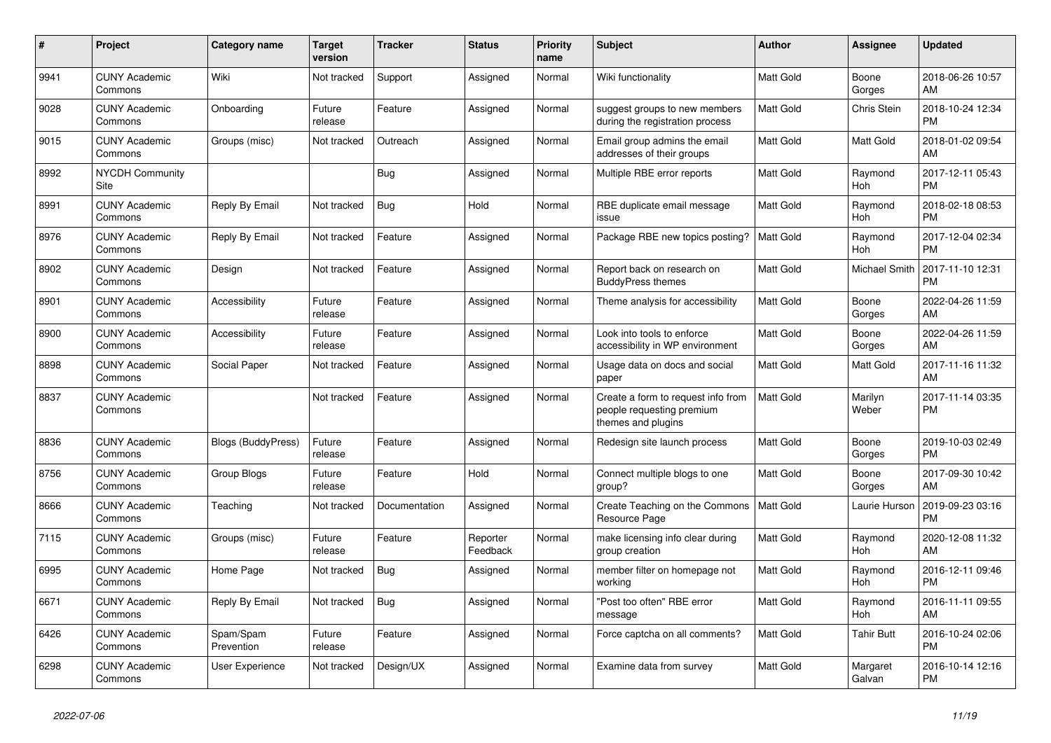| #    | <b>Project</b>                  | <b>Category name</b>      | <b>Target</b><br>version | <b>Tracker</b> | <b>Status</b>        | <b>Priority</b><br>name | <b>Subject</b>                                                                        | <b>Author</b>    | <b>Assignee</b>       | <b>Updated</b>                |
|------|---------------------------------|---------------------------|--------------------------|----------------|----------------------|-------------------------|---------------------------------------------------------------------------------------|------------------|-----------------------|-------------------------------|
| 9941 | <b>CUNY Academic</b><br>Commons | Wiki                      | Not tracked              | Support        | Assigned             | Normal                  | Wiki functionality                                                                    | <b>Matt Gold</b> | Boone<br>Gorges       | 2018-06-26 10:57<br>AM        |
| 9028 | <b>CUNY Academic</b><br>Commons | Onboarding                | Future<br>release        | Feature        | Assigned             | Normal                  | suggest groups to new members<br>during the registration process                      | <b>Matt Gold</b> | Chris Stein           | 2018-10-24 12:34<br><b>PM</b> |
| 9015 | <b>CUNY Academic</b><br>Commons | Groups (misc)             | Not tracked              | Outreach       | Assigned             | Normal                  | Email group admins the email<br>addresses of their groups                             | Matt Gold        | Matt Gold             | 2018-01-02 09:54<br>AM        |
| 8992 | <b>NYCDH Community</b><br>Site  |                           |                          | <b>Bug</b>     | Assigned             | Normal                  | Multiple RBE error reports                                                            | Matt Gold        | Raymond<br><b>Hoh</b> | 2017-12-11 05:43<br><b>PM</b> |
| 8991 | <b>CUNY Academic</b><br>Commons | Reply By Email            | Not tracked              | <b>Bug</b>     | Hold                 | Normal                  | RBE duplicate email message<br>issue                                                  | <b>Matt Gold</b> | Raymond<br>Hoh        | 2018-02-18 08:53<br><b>PM</b> |
| 8976 | <b>CUNY Academic</b><br>Commons | Reply By Email            | Not tracked              | Feature        | Assigned             | Normal                  | Package RBE new topics posting?                                                       | <b>Matt Gold</b> | Raymond<br>Hoh        | 2017-12-04 02:34<br><b>PM</b> |
| 8902 | <b>CUNY Academic</b><br>Commons | Design                    | Not tracked              | Feature        | Assigned             | Normal                  | Report back on research on<br><b>BuddyPress themes</b>                                | <b>Matt Gold</b> | Michael Smith         | 2017-11-10 12:31<br><b>PM</b> |
| 8901 | <b>CUNY Academic</b><br>Commons | Accessibility             | Future<br>release        | Feature        | Assigned             | Normal                  | Theme analysis for accessibility                                                      | <b>Matt Gold</b> | Boone<br>Gorges       | 2022-04-26 11:59<br>AM        |
| 8900 | <b>CUNY Academic</b><br>Commons | Accessibility             | Future<br>release        | Feature        | Assigned             | Normal                  | Look into tools to enforce<br>accessibility in WP environment                         | Matt Gold        | Boone<br>Gorges       | 2022-04-26 11:59<br>AM        |
| 8898 | <b>CUNY Academic</b><br>Commons | Social Paper              | Not tracked              | Feature        | Assigned             | Normal                  | Usage data on docs and social<br>paper                                                | <b>Matt Gold</b> | <b>Matt Gold</b>      | 2017-11-16 11:32<br>AM        |
| 8837 | <b>CUNY Academic</b><br>Commons |                           | Not tracked              | Feature        | Assigned             | Normal                  | Create a form to request info from<br>people requesting premium<br>themes and plugins | <b>Matt Gold</b> | Marilyn<br>Weber      | 2017-11-14 03:35<br><b>PM</b> |
| 8836 | <b>CUNY Academic</b><br>Commons | <b>Blogs (BuddyPress)</b> | Future<br>release        | Feature        | Assigned             | Normal                  | Redesign site launch process                                                          | <b>Matt Gold</b> | Boone<br>Gorges       | 2019-10-03 02:49<br><b>PM</b> |
| 8756 | <b>CUNY Academic</b><br>Commons | <b>Group Blogs</b>        | Future<br>release        | Feature        | Hold                 | Normal                  | Connect multiple blogs to one<br>group?                                               | <b>Matt Gold</b> | Boone<br>Gorges       | 2017-09-30 10:42<br>AM        |
| 8666 | <b>CUNY Academic</b><br>Commons | Teaching                  | Not tracked              | Documentation  | Assigned             | Normal                  | Create Teaching on the Commons<br>Resource Page                                       | <b>Matt Gold</b> | Laurie Hurson         | 2019-09-23 03:16<br><b>PM</b> |
| 7115 | <b>CUNY Academic</b><br>Commons | Groups (misc)             | Future<br>release        | Feature        | Reporter<br>Feedback | Normal                  | make licensing info clear during<br>group creation                                    | Matt Gold        | Raymond<br><b>Hoh</b> | 2020-12-08 11:32<br>AM        |
| 6995 | <b>CUNY Academic</b><br>Commons | Home Page                 | Not tracked              | <b>Bug</b>     | Assigned             | Normal                  | member filter on homepage not<br>workina                                              | <b>Matt Gold</b> | Raymond<br>Hoh        | 2016-12-11 09:46<br><b>PM</b> |
| 6671 | <b>CUNY Academic</b><br>Commons | Reply By Email            | Not tracked              | Bug            | Assigned             | Normal                  | "Post too often" RBE error<br>message                                                 | <b>Matt Gold</b> | Raymond<br>Hoh        | 2016-11-11 09:55<br>AM        |
| 6426 | <b>CUNY Academic</b><br>Commons | Spam/Spam<br>Prevention   | Future<br>release        | Feature        | Assigned             | Normal                  | Force captcha on all comments?                                                        | <b>Matt Gold</b> | Tahir Butt            | 2016-10-24 02:06<br><b>PM</b> |
| 6298 | <b>CUNY Academic</b><br>Commons | User Experience           | Not tracked              | Design/UX      | Assigned             | Normal                  | Examine data from survey                                                              | <b>Matt Gold</b> | Margaret<br>Galvan    | 2016-10-14 12:16<br><b>PM</b> |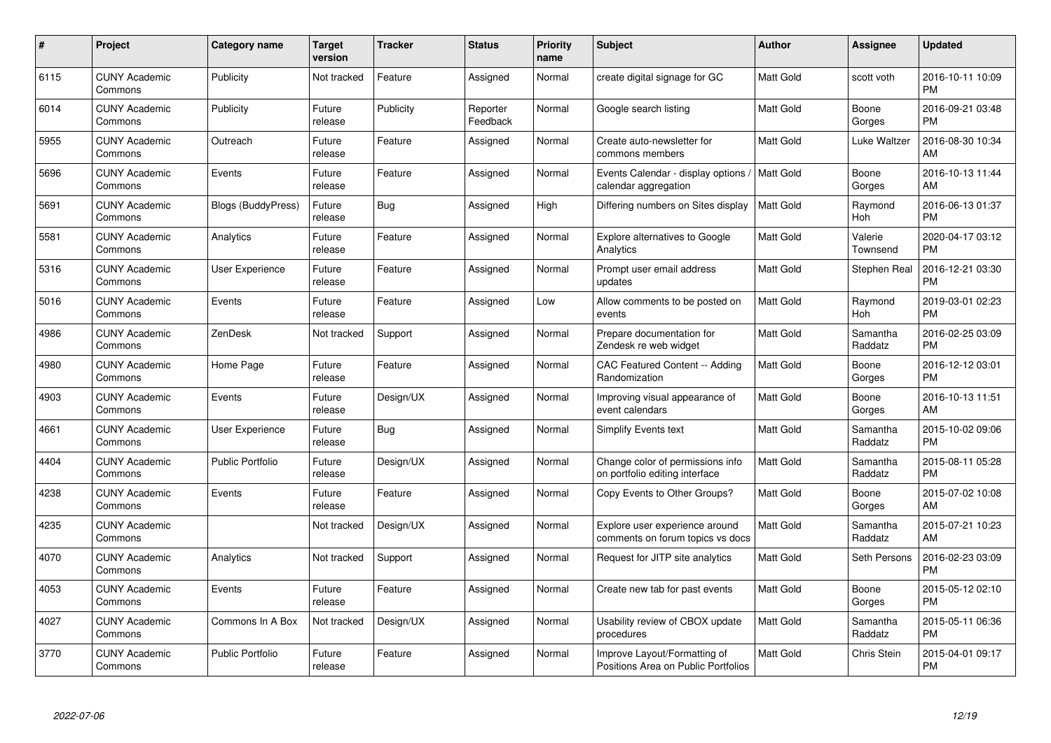| $\#$ | Project                         | <b>Category name</b>      | <b>Target</b><br>version | <b>Tracker</b> | <b>Status</b>        | <b>Priority</b><br>name | <b>Subject</b>                                                      | <b>Author</b>    | Assignee            | <b>Updated</b>                |
|------|---------------------------------|---------------------------|--------------------------|----------------|----------------------|-------------------------|---------------------------------------------------------------------|------------------|---------------------|-------------------------------|
| 6115 | <b>CUNY Academic</b><br>Commons | Publicity                 | Not tracked              | Feature        | Assigned             | Normal                  | create digital signage for GC                                       | <b>Matt Gold</b> | scott voth          | 2016-10-11 10:09<br><b>PM</b> |
| 6014 | <b>CUNY Academic</b><br>Commons | Publicity                 | Future<br>release        | Publicity      | Reporter<br>Feedback | Normal                  | Google search listing                                               | <b>Matt Gold</b> | Boone<br>Gorges     | 2016-09-21 03:48<br><b>PM</b> |
| 5955 | <b>CUNY Academic</b><br>Commons | Outreach                  | Future<br>release        | Feature        | Assigned             | Normal                  | Create auto-newsletter for<br>commons members                       | Matt Gold        | Luke Waltzer        | 2016-08-30 10:34<br>AM        |
| 5696 | <b>CUNY Academic</b><br>Commons | Events                    | Future<br>release        | Feature        | Assigned             | Normal                  | Events Calendar - display options<br>calendar aggregation           | Matt Gold        | Boone<br>Gorges     | 2016-10-13 11:44<br>AM        |
| 5691 | <b>CUNY Academic</b><br>Commons | <b>Blogs (BuddyPress)</b> | Future<br>release        | <b>Bug</b>     | Assigned             | High                    | Differing numbers on Sites display                                  | <b>Matt Gold</b> | Raymond<br>Hoh      | 2016-06-13 01:37<br><b>PM</b> |
| 5581 | <b>CUNY Academic</b><br>Commons | Analytics                 | Future<br>release        | Feature        | Assigned             | Normal                  | Explore alternatives to Google<br>Analytics                         | <b>Matt Gold</b> | Valerie<br>Townsend | 2020-04-17 03:12<br><b>PM</b> |
| 5316 | <b>CUNY Academic</b><br>Commons | <b>User Experience</b>    | Future<br>release        | Feature        | Assigned             | Normal                  | Prompt user email address<br>updates                                | Matt Gold        | Stephen Real        | 2016-12-21 03:30<br><b>PM</b> |
| 5016 | <b>CUNY Academic</b><br>Commons | Events                    | Future<br>release        | Feature        | Assigned             | Low                     | Allow comments to be posted on<br>events                            | Matt Gold        | Raymond<br>Hoh      | 2019-03-01 02:23<br><b>PM</b> |
| 4986 | <b>CUNY Academic</b><br>Commons | ZenDesk                   | Not tracked              | Support        | Assigned             | Normal                  | Prepare documentation for<br>Zendesk re web widget                  | <b>Matt Gold</b> | Samantha<br>Raddatz | 2016-02-25 03:09<br><b>PM</b> |
| 4980 | <b>CUNY Academic</b><br>Commons | Home Page                 | Future<br>release        | Feature        | Assigned             | Normal                  | <b>CAC Featured Content -- Adding</b><br>Randomization              | <b>Matt Gold</b> | Boone<br>Gorges     | 2016-12-12 03:01<br><b>PM</b> |
| 4903 | <b>CUNY Academic</b><br>Commons | Events                    | Future<br>release        | Design/UX      | Assigned             | Normal                  | Improving visual appearance of<br>event calendars                   | Matt Gold        | Boone<br>Gorges     | 2016-10-13 11:51<br>AM        |
| 4661 | <b>CUNY Academic</b><br>Commons | <b>User Experience</b>    | Future<br>release        | <b>Bug</b>     | Assigned             | Normal                  | <b>Simplify Events text</b>                                         | Matt Gold        | Samantha<br>Raddatz | 2015-10-02 09:06<br><b>PM</b> |
| 4404 | <b>CUNY Academic</b><br>Commons | <b>Public Portfolio</b>   | Future<br>release        | Design/UX      | Assigned             | Normal                  | Change color of permissions info<br>on portfolio editing interface  | Matt Gold        | Samantha<br>Raddatz | 2015-08-11 05:28<br><b>PM</b> |
| 4238 | <b>CUNY Academic</b><br>Commons | Events                    | Future<br>release        | Feature        | Assigned             | Normal                  | Copy Events to Other Groups?                                        | Matt Gold        | Boone<br>Gorges     | 2015-07-02 10:08<br>AM        |
| 4235 | <b>CUNY Academic</b><br>Commons |                           | Not tracked              | Design/UX      | Assigned             | Normal                  | Explore user experience around<br>comments on forum topics vs docs  | Matt Gold        | Samantha<br>Raddatz | 2015-07-21 10:23<br>AM        |
| 4070 | <b>CUNY Academic</b><br>Commons | Analytics                 | Not tracked              | Support        | Assigned             | Normal                  | Request for JITP site analytics                                     | <b>Matt Gold</b> | Seth Persons        | 2016-02-23 03:09<br><b>PM</b> |
| 4053 | <b>CUNY Academic</b><br>Commons | Events                    | Future<br>release        | Feature        | Assigned             | Normal                  | Create new tab for past events                                      | <b>Matt Gold</b> | Boone<br>Gorges     | 2015-05-12 02:10<br><b>PM</b> |
| 4027 | <b>CUNY Academic</b><br>Commons | Commons In A Box          | Not tracked              | Design/UX      | Assigned             | Normal                  | Usability review of CBOX update<br>procedures                       | Matt Gold        | Samantha<br>Raddatz | 2015-05-11 06:36<br><b>PM</b> |
| 3770 | <b>CUNY Academic</b><br>Commons | <b>Public Portfolio</b>   | Future<br>release        | Feature        | Assigned             | Normal                  | Improve Layout/Formatting of<br>Positions Area on Public Portfolios | Matt Gold        | Chris Stein         | 2015-04-01 09:17<br><b>PM</b> |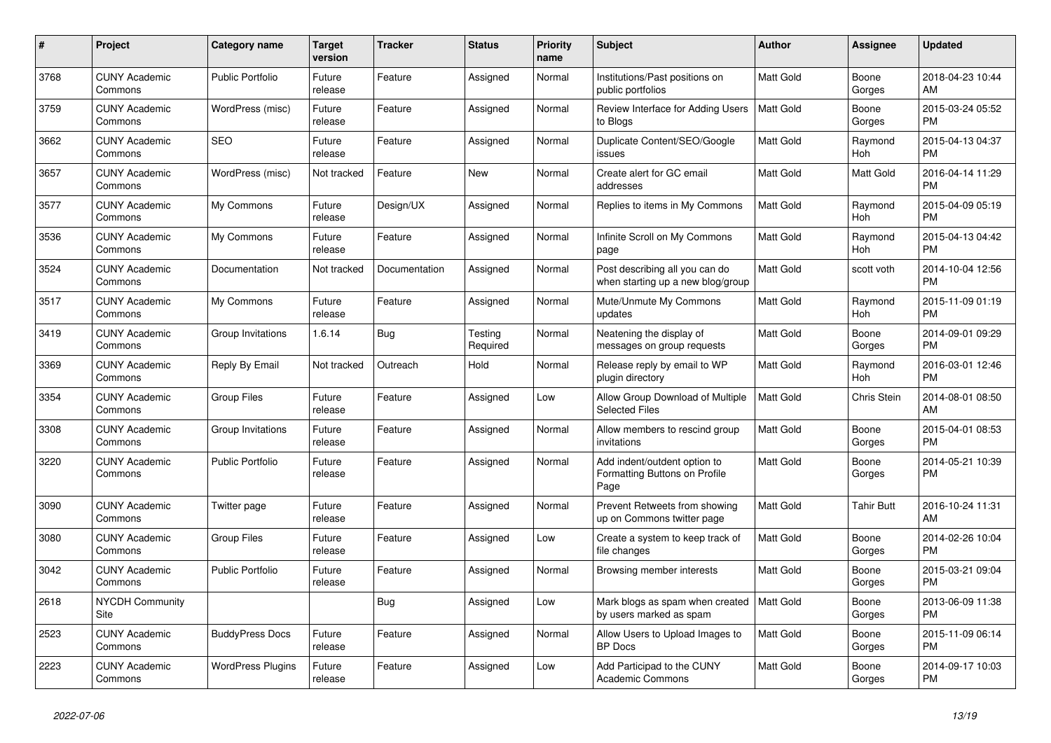| $\pmb{\#}$ | <b>Project</b>                        | <b>Category name</b>     | <b>Target</b><br>version | <b>Tracker</b> | <b>Status</b>       | <b>Priority</b><br>name | <b>Subject</b>                                                        | <b>Author</b>    | Assignee          | <b>Updated</b>                |
|------------|---------------------------------------|--------------------------|--------------------------|----------------|---------------------|-------------------------|-----------------------------------------------------------------------|------------------|-------------------|-------------------------------|
| 3768       | <b>CUNY Academic</b><br>Commons       | <b>Public Portfolio</b>  | Future<br>release        | Feature        | Assigned            | Normal                  | Institutions/Past positions on<br>public portfolios                   | <b>Matt Gold</b> | Boone<br>Gorges   | 2018-04-23 10:44<br>AM        |
| 3759       | <b>CUNY Academic</b><br>Commons       | WordPress (misc)         | Future<br>release        | Feature        | Assigned            | Normal                  | Review Interface for Adding Users<br>to Blogs                         | Matt Gold        | Boone<br>Gorges   | 2015-03-24 05:52<br><b>PM</b> |
| 3662       | <b>CUNY Academic</b><br>Commons       | <b>SEO</b>               | Future<br>release        | Feature        | Assigned            | Normal                  | Duplicate Content/SEO/Google<br>issues                                | Matt Gold        | Raymond<br>Hoh    | 2015-04-13 04:37<br><b>PM</b> |
| 3657       | <b>CUNY Academic</b><br>Commons       | WordPress (misc)         | Not tracked              | Feature        | New                 | Normal                  | Create alert for GC email<br>addresses                                | Matt Gold        | Matt Gold         | 2016-04-14 11:29<br><b>PM</b> |
| 3577       | <b>CUNY Academic</b><br>Commons       | My Commons               | Future<br>release        | Design/UX      | Assigned            | Normal                  | Replies to items in My Commons                                        | Matt Gold        | Raymond<br>Hoh    | 2015-04-09 05:19<br><b>PM</b> |
| 3536       | <b>CUNY Academic</b><br>Commons       | My Commons               | Future<br>release        | Feature        | Assigned            | Normal                  | Infinite Scroll on My Commons<br>page                                 | Matt Gold        | Raymond<br>Hoh    | 2015-04-13 04:42<br><b>PM</b> |
| 3524       | <b>CUNY Academic</b><br>Commons       | Documentation            | Not tracked              | Documentation  | Assigned            | Normal                  | Post describing all you can do<br>when starting up a new blog/group   | <b>Matt Gold</b> | scott voth        | 2014-10-04 12:56<br><b>PM</b> |
| 3517       | <b>CUNY Academic</b><br>Commons       | My Commons               | Future<br>release        | Feature        | Assigned            | Normal                  | Mute/Unmute My Commons<br>updates                                     | <b>Matt Gold</b> | Raymond<br>Hoh    | 2015-11-09 01:19<br><b>PM</b> |
| 3419       | <b>CUNY Academic</b><br>Commons       | Group Invitations        | 1.6.14                   | <b>Bug</b>     | Testing<br>Required | Normal                  | Neatening the display of<br>messages on group requests                | <b>Matt Gold</b> | Boone<br>Gorges   | 2014-09-01 09:29<br><b>PM</b> |
| 3369       | <b>CUNY Academic</b><br>Commons       | Reply By Email           | Not tracked              | Outreach       | Hold                | Normal                  | Release reply by email to WP<br>plugin directory                      | <b>Matt Gold</b> | Raymond<br>Hoh    | 2016-03-01 12:46<br><b>PM</b> |
| 3354       | <b>CUNY Academic</b><br>Commons       | <b>Group Files</b>       | Future<br>release        | Feature        | Assigned            | Low                     | Allow Group Download of Multiple<br><b>Selected Files</b>             | <b>Matt Gold</b> | Chris Stein       | 2014-08-01 08:50<br>AM        |
| 3308       | <b>CUNY Academic</b><br>Commons       | Group Invitations        | Future<br>release        | Feature        | Assigned            | Normal                  | Allow members to rescind group<br>invitations                         | Matt Gold        | Boone<br>Gorges   | 2015-04-01 08:53<br><b>PM</b> |
| 3220       | <b>CUNY Academic</b><br>Commons       | <b>Public Portfolio</b>  | Future<br>release        | Feature        | Assigned            | Normal                  | Add indent/outdent option to<br>Formatting Buttons on Profile<br>Page | <b>Matt Gold</b> | Boone<br>Gorges   | 2014-05-21 10:39<br><b>PM</b> |
| 3090       | <b>CUNY Academic</b><br>Commons       | Twitter page             | Future<br>release        | Feature        | Assigned            | Normal                  | Prevent Retweets from showing<br>up on Commons twitter page           | Matt Gold        | <b>Tahir Butt</b> | 2016-10-24 11:31<br>AM        |
| 3080       | <b>CUNY Academic</b><br>Commons       | <b>Group Files</b>       | Future<br>release        | Feature        | Assigned            | Low                     | Create a system to keep track of<br>file changes                      | <b>Matt Gold</b> | Boone<br>Gorges   | 2014-02-26 10:04<br><b>PM</b> |
| 3042       | <b>CUNY Academic</b><br>Commons       | <b>Public Portfolio</b>  | Future<br>release        | Feature        | Assigned            | Normal                  | Browsing member interests                                             | <b>Matt Gold</b> | Boone<br>Gorges   | 2015-03-21 09:04<br><b>PM</b> |
| 2618       | <b>NYCDH Community</b><br><b>Site</b> |                          |                          | <b>Bug</b>     | Assigned            | Low                     | Mark blogs as spam when created<br>by users marked as spam            | <b>Matt Gold</b> | Boone<br>Gorges   | 2013-06-09 11:38<br><b>PM</b> |
| 2523       | <b>CUNY Academic</b><br>Commons       | <b>BuddyPress Docs</b>   | Future<br>release        | Feature        | Assigned            | Normal                  | Allow Users to Upload Images to<br><b>BP</b> Docs                     | <b>Matt Gold</b> | Boone<br>Gorges   | 2015-11-09 06:14<br><b>PM</b> |
| 2223       | <b>CUNY Academic</b><br>Commons       | <b>WordPress Plugins</b> | Future<br>release        | Feature        | Assigned            | Low                     | Add Participad to the CUNY<br>Academic Commons                        | <b>Matt Gold</b> | Boone<br>Gorges   | 2014-09-17 10:03<br><b>PM</b> |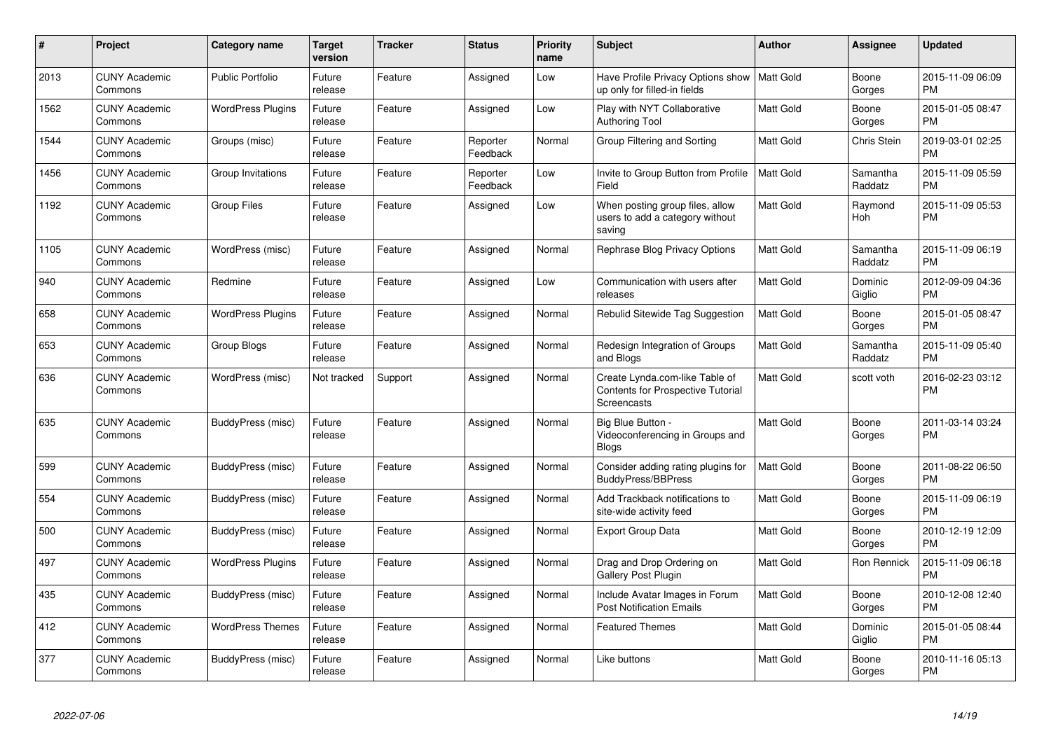| $\#$ | <b>Project</b>                  | <b>Category name</b>     | <b>Target</b><br>version | <b>Tracker</b> | <b>Status</b>        | Priority<br>name | <b>Subject</b>                                                                            | Author           | Assignee            | <b>Updated</b>                |
|------|---------------------------------|--------------------------|--------------------------|----------------|----------------------|------------------|-------------------------------------------------------------------------------------------|------------------|---------------------|-------------------------------|
| 2013 | <b>CUNY Academic</b><br>Commons | <b>Public Portfolio</b>  | Future<br>release        | Feature        | Assigned             | Low              | Have Profile Privacy Options show   Matt Gold<br>up only for filled-in fields             |                  | Boone<br>Gorges     | 2015-11-09 06:09<br><b>PM</b> |
| 1562 | <b>CUNY Academic</b><br>Commons | <b>WordPress Plugins</b> | Future<br>release        | Feature        | Assigned             | Low              | Play with NYT Collaborative<br><b>Authoring Tool</b>                                      | <b>Matt Gold</b> | Boone<br>Gorges     | 2015-01-05 08:47<br><b>PM</b> |
| 1544 | <b>CUNY Academic</b><br>Commons | Groups (misc)            | Future<br>release        | Feature        | Reporter<br>Feedback | Normal           | Group Filtering and Sorting                                                               | <b>Matt Gold</b> | <b>Chris Stein</b>  | 2019-03-01 02:25<br><b>PM</b> |
| 1456 | <b>CUNY Academic</b><br>Commons | Group Invitations        | Future<br>release        | Feature        | Reporter<br>Feedback | Low              | Invite to Group Button from Profile<br>Field                                              | Matt Gold        | Samantha<br>Raddatz | 2015-11-09 05:59<br><b>PM</b> |
| 1192 | <b>CUNY Academic</b><br>Commons | <b>Group Files</b>       | Future<br>release        | Feature        | Assigned             | Low              | When posting group files, allow<br>users to add a category without<br>saving              | <b>Matt Gold</b> | Raymond<br>Hoh      | 2015-11-09 05:53<br><b>PM</b> |
| 1105 | <b>CUNY Academic</b><br>Commons | WordPress (misc)         | Future<br>release        | Feature        | Assigned             | Normal           | Rephrase Blog Privacy Options                                                             | <b>Matt Gold</b> | Samantha<br>Raddatz | 2015-11-09 06:19<br><b>PM</b> |
| 940  | <b>CUNY Academic</b><br>Commons | Redmine                  | Future<br>release        | Feature        | Assigned             | Low              | Communication with users after<br>releases                                                | <b>Matt Gold</b> | Dominic<br>Giglio   | 2012-09-09 04:36<br><b>PM</b> |
| 658  | <b>CUNY Academic</b><br>Commons | <b>WordPress Plugins</b> | Future<br>release        | Feature        | Assigned             | Normal           | Rebulid Sitewide Tag Suggestion                                                           | <b>Matt Gold</b> | Boone<br>Gorges     | 2015-01-05 08:47<br><b>PM</b> |
| 653  | <b>CUNY Academic</b><br>Commons | Group Blogs              | Future<br>release        | Feature        | Assigned             | Normal           | Redesign Integration of Groups<br>and Blogs                                               | <b>Matt Gold</b> | Samantha<br>Raddatz | 2015-11-09 05:40<br><b>PM</b> |
| 636  | <b>CUNY Academic</b><br>Commons | WordPress (misc)         | Not tracked              | Support        | Assigned             | Normal           | Create Lynda.com-like Table of<br><b>Contents for Prospective Tutorial</b><br>Screencasts | <b>Matt Gold</b> | scott voth          | 2016-02-23 03:12<br><b>PM</b> |
| 635  | <b>CUNY Academic</b><br>Commons | BuddyPress (misc)        | Future<br>release        | Feature        | Assigned             | Normal           | Big Blue Button -<br>Videoconferencing in Groups and<br><b>Blogs</b>                      | <b>Matt Gold</b> | Boone<br>Gorges     | 2011-03-14 03:24<br><b>PM</b> |
| 599  | <b>CUNY Academic</b><br>Commons | BuddyPress (misc)        | Future<br>release        | Feature        | Assigned             | Normal           | Consider adding rating plugins for<br><b>BuddyPress/BBPress</b>                           | <b>Matt Gold</b> | Boone<br>Gorges     | 2011-08-22 06:50<br><b>PM</b> |
| 554  | <b>CUNY Academic</b><br>Commons | BuddyPress (misc)        | Future<br>release        | Feature        | Assigned             | Normal           | Add Trackback notifications to<br>site-wide activity feed                                 | <b>Matt Gold</b> | Boone<br>Gorges     | 2015-11-09 06:19<br><b>PM</b> |
| 500  | <b>CUNY Academic</b><br>Commons | BuddyPress (misc)        | Future<br>release        | Feature        | Assigned             | Normal           | <b>Export Group Data</b>                                                                  | <b>Matt Gold</b> | Boone<br>Gorges     | 2010-12-19 12:09<br><b>PM</b> |
| 497  | <b>CUNY Academic</b><br>Commons | <b>WordPress Plugins</b> | Future<br>release        | Feature        | Assigned             | Normal           | Drag and Drop Ordering on<br><b>Gallery Post Plugin</b>                                   | <b>Matt Gold</b> | Ron Rennick         | 2015-11-09 06:18<br><b>PM</b> |
| 435  | <b>CUNY Academic</b><br>Commons | BuddyPress (misc)        | Future<br>release        | Feature        | Assigned             | Normal           | Include Avatar Images in Forum<br><b>Post Notification Emails</b>                         | <b>Matt Gold</b> | Boone<br>Gorges     | 2010-12-08 12:40<br><b>PM</b> |
| 412  | <b>CUNY Academic</b><br>Commons | <b>WordPress Themes</b>  | Future<br>release        | Feature        | Assigned             | Normal           | <b>Featured Themes</b>                                                                    | <b>Matt Gold</b> | Dominic<br>Giglio   | 2015-01-05 08:44<br><b>PM</b> |
| 377  | <b>CUNY Academic</b><br>Commons | BuddyPress (misc)        | Future<br>release        | Feature        | Assigned             | Normal           | Like buttons                                                                              | <b>Matt Gold</b> | Boone<br>Gorges     | 2010-11-16 05:13<br>PM        |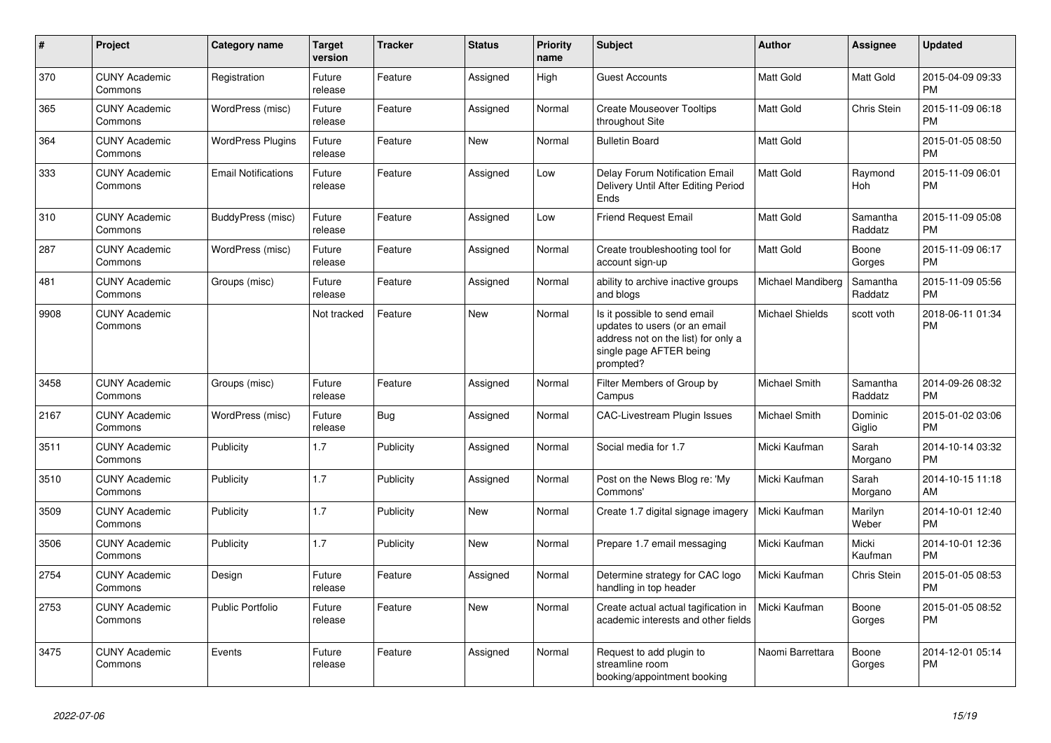| #    | <b>Project</b>                  | <b>Category name</b>       | <b>Target</b><br>version | <b>Tracker</b> | <b>Status</b> | <b>Priority</b><br>name | <b>Subject</b>                                                                                                                               | <b>Author</b>          | <b>Assignee</b>     | <b>Updated</b>                |
|------|---------------------------------|----------------------------|--------------------------|----------------|---------------|-------------------------|----------------------------------------------------------------------------------------------------------------------------------------------|------------------------|---------------------|-------------------------------|
| 370  | <b>CUNY Academic</b><br>Commons | Registration               | Future<br>release        | Feature        | Assigned      | High                    | <b>Guest Accounts</b>                                                                                                                        | <b>Matt Gold</b>       | Matt Gold           | 2015-04-09 09:33<br><b>PM</b> |
| 365  | <b>CUNY Academic</b><br>Commons | WordPress (misc)           | Future<br>release        | Feature        | Assigned      | Normal                  | <b>Create Mouseover Tooltips</b><br>throughout Site                                                                                          | <b>Matt Gold</b>       | Chris Stein         | 2015-11-09 06:18<br><b>PM</b> |
| 364  | <b>CUNY Academic</b><br>Commons | <b>WordPress Plugins</b>   | Future<br>release        | Feature        | New           | Normal                  | <b>Bulletin Board</b>                                                                                                                        | <b>Matt Gold</b>       |                     | 2015-01-05 08:50<br><b>PM</b> |
| 333  | <b>CUNY Academic</b><br>Commons | <b>Email Notifications</b> | Future<br>release        | Feature        | Assigned      | Low                     | Delay Forum Notification Email<br>Delivery Until After Editing Period<br>Ends                                                                | <b>Matt Gold</b>       | Raymond<br>Hoh      | 2015-11-09 06:01<br><b>PM</b> |
| 310  | <b>CUNY Academic</b><br>Commons | BuddyPress (misc)          | Future<br>release        | Feature        | Assigned      | Low                     | <b>Friend Request Email</b>                                                                                                                  | <b>Matt Gold</b>       | Samantha<br>Raddatz | 2015-11-09 05:08<br><b>PM</b> |
| 287  | <b>CUNY Academic</b><br>Commons | WordPress (misc)           | Future<br>release        | Feature        | Assigned      | Normal                  | Create troubleshooting tool for<br>account sign-up                                                                                           | <b>Matt Gold</b>       | Boone<br>Gorges     | 2015-11-09 06:17<br><b>PM</b> |
| 481  | <b>CUNY Academic</b><br>Commons | Groups (misc)              | Future<br>release        | Feature        | Assigned      | Normal                  | ability to archive inactive groups<br>and blogs                                                                                              | Michael Mandiberg      | Samantha<br>Raddatz | 2015-11-09 05:56<br><b>PM</b> |
| 9908 | <b>CUNY Academic</b><br>Commons |                            | Not tracked              | Feature        | <b>New</b>    | Normal                  | Is it possible to send email<br>updates to users (or an email<br>address not on the list) for only a<br>single page AFTER being<br>prompted? | <b>Michael Shields</b> | scott voth          | 2018-06-11 01:34<br><b>PM</b> |
| 3458 | <b>CUNY Academic</b><br>Commons | Groups (misc)              | Future<br>release        | Feature        | Assigned      | Normal                  | Filter Members of Group by<br>Campus                                                                                                         | Michael Smith          | Samantha<br>Raddatz | 2014-09-26 08:32<br><b>PM</b> |
| 2167 | <b>CUNY Academic</b><br>Commons | WordPress (misc)           | Future<br>release        | Bug            | Assigned      | Normal                  | <b>CAC-Livestream Plugin Issues</b>                                                                                                          | <b>Michael Smith</b>   | Dominic<br>Giglio   | 2015-01-02 03:06<br><b>PM</b> |
| 3511 | <b>CUNY Academic</b><br>Commons | Publicity                  | 1.7                      | Publicity      | Assigned      | Normal                  | Social media for 1.7                                                                                                                         | Micki Kaufman          | Sarah<br>Morgano    | 2014-10-14 03:32<br><b>PM</b> |
| 3510 | <b>CUNY Academic</b><br>Commons | Publicity                  | 1.7                      | Publicity      | Assigned      | Normal                  | Post on the News Blog re: 'My<br>Commons'                                                                                                    | Micki Kaufman          | Sarah<br>Morgano    | 2014-10-15 11:18<br>AM        |
| 3509 | <b>CUNY Academic</b><br>Commons | Publicity                  | 1.7                      | Publicity      | <b>New</b>    | Normal                  | Create 1.7 digital signage imagery                                                                                                           | Micki Kaufman          | Marilyn<br>Weber    | 2014-10-01 12:40<br><b>PM</b> |
| 3506 | <b>CUNY Academic</b><br>Commons | Publicity                  | 1.7                      | Publicity      | New           | Normal                  | Prepare 1.7 email messaging                                                                                                                  | Micki Kaufman          | Micki<br>Kaufman    | 2014-10-01 12:36<br><b>PM</b> |
| 2754 | <b>CUNY Academic</b><br>Commons | Design                     | Future<br>release        | Feature        | Assigned      | Normal                  | Determine strategy for CAC logo<br>handling in top header                                                                                    | Micki Kaufman          | Chris Stein         | 2015-01-05 08:53<br><b>PM</b> |
| 2753 | <b>CUNY Academic</b><br>Commons | Public Portfolio           | Future<br>release        | Feature        | <b>New</b>    | Normal                  | Create actual actual tagification in<br>academic interests and other fields                                                                  | Micki Kaufman          | Boone<br>Gorges     | 2015-01-05 08:52<br><b>PM</b> |
| 3475 | <b>CUNY Academic</b><br>Commons | Events                     | Future<br>release        | Feature        | Assigned      | Normal                  | Request to add plugin to<br>streamline room<br>booking/appointment booking                                                                   | Naomi Barrettara       | Boone<br>Gorges     | 2014-12-01 05:14<br><b>PM</b> |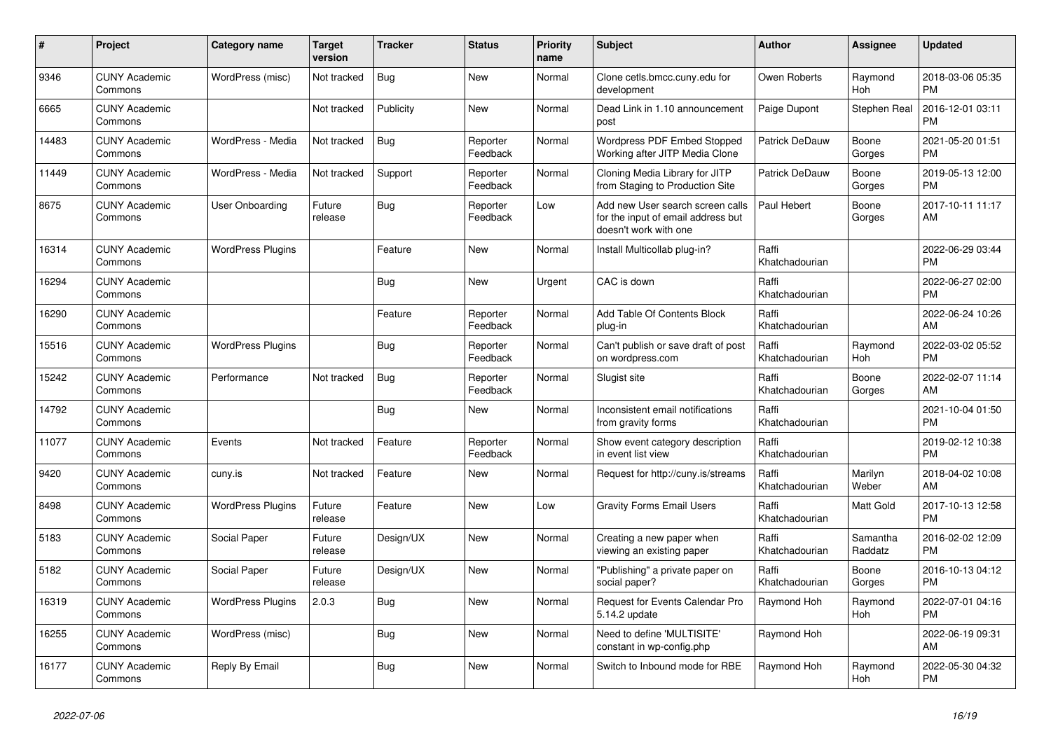| #     | <b>Project</b>                  | <b>Category name</b>     | <b>Target</b><br>version | <b>Tracker</b> | <b>Status</b>        | <b>Priority</b><br>name | <b>Subject</b>                                                                                  | <b>Author</b>           | Assignee            | <b>Updated</b>                |
|-------|---------------------------------|--------------------------|--------------------------|----------------|----------------------|-------------------------|-------------------------------------------------------------------------------------------------|-------------------------|---------------------|-------------------------------|
| 9346  | <b>CUNY Academic</b><br>Commons | WordPress (misc)         | Not tracked              | Bug            | New                  | Normal                  | Clone cetls.bmcc.cuny.edu for<br>development                                                    | Owen Roberts            | Raymond<br>Hoh      | 2018-03-06 05:35<br><b>PM</b> |
| 6665  | <b>CUNY Academic</b><br>Commons |                          | Not tracked              | Publicity      | <b>New</b>           | Normal                  | Dead Link in 1.10 announcement<br>post                                                          | Paige Dupont            | Stephen Real        | 2016-12-01 03:11<br><b>PM</b> |
| 14483 | <b>CUNY Academic</b><br>Commons | WordPress - Media        | Not tracked              | Bug            | Reporter<br>Feedback | Normal                  | Wordpress PDF Embed Stopped<br>Working after JITP Media Clone                                   | Patrick DeDauw          | Boone<br>Gorges     | 2021-05-20 01:51<br><b>PM</b> |
| 11449 | <b>CUNY Academic</b><br>Commons | WordPress - Media        | Not tracked              | Support        | Reporter<br>Feedback | Normal                  | Cloning Media Library for JITP<br>from Staging to Production Site                               | Patrick DeDauw          | Boone<br>Gorges     | 2019-05-13 12:00<br><b>PM</b> |
| 8675  | <b>CUNY Academic</b><br>Commons | User Onboarding          | Future<br>release        | Bug            | Reporter<br>Feedback | Low                     | Add new User search screen calls<br>for the input of email address but<br>doesn't work with one | Paul Hebert             | Boone<br>Gorges     | 2017-10-11 11:17<br>AM        |
| 16314 | <b>CUNY Academic</b><br>Commons | <b>WordPress Plugins</b> |                          | Feature        | <b>New</b>           | Normal                  | Install Multicollab plug-in?                                                                    | Raffi<br>Khatchadourian |                     | 2022-06-29 03:44<br><b>PM</b> |
| 16294 | <b>CUNY Academic</b><br>Commons |                          |                          | <b>Bug</b>     | <b>New</b>           | Urgent                  | CAC is down                                                                                     | Raffi<br>Khatchadourian |                     | 2022-06-27 02:00<br><b>PM</b> |
| 16290 | <b>CUNY Academic</b><br>Commons |                          |                          | Feature        | Reporter<br>Feedback | Normal                  | Add Table Of Contents Block<br>plug-in                                                          | Raffi<br>Khatchadourian |                     | 2022-06-24 10:26<br>AM        |
| 15516 | <b>CUNY Academic</b><br>Commons | <b>WordPress Plugins</b> |                          | Bug            | Reporter<br>Feedback | Normal                  | Can't publish or save draft of post<br>on wordpress.com                                         | Raffi<br>Khatchadourian | Raymond<br>Hoh      | 2022-03-02 05:52<br><b>PM</b> |
| 15242 | <b>CUNY Academic</b><br>Commons | Performance              | Not tracked              | <b>Bug</b>     | Reporter<br>Feedback | Normal                  | Slugist site                                                                                    | Raffi<br>Khatchadourian | Boone<br>Gorges     | 2022-02-07 11:14<br>AM        |
| 14792 | <b>CUNY Academic</b><br>Commons |                          |                          | Bug            | New                  | Normal                  | Inconsistent email notifications<br>from gravity forms                                          | Raffi<br>Khatchadourian |                     | 2021-10-04 01:50<br><b>PM</b> |
| 11077 | <b>CUNY Academic</b><br>Commons | Events                   | Not tracked              | Feature        | Reporter<br>Feedback | Normal                  | Show event category description<br>in event list view                                           | Raffi<br>Khatchadourian |                     | 2019-02-12 10:38<br><b>PM</b> |
| 9420  | <b>CUNY Academic</b><br>Commons | cuny.is                  | Not tracked              | Feature        | <b>New</b>           | Normal                  | Request for http://cuny.is/streams                                                              | Raffi<br>Khatchadourian | Marilyn<br>Weber    | 2018-04-02 10:08<br>AM        |
| 8498  | <b>CUNY Academic</b><br>Commons | <b>WordPress Plugins</b> | Future<br>release        | Feature        | New                  | Low                     | <b>Gravity Forms Email Users</b>                                                                | Raffi<br>Khatchadourian | Matt Gold           | 2017-10-13 12:58<br><b>PM</b> |
| 5183  | <b>CUNY Academic</b><br>Commons | Social Paper             | Future<br>release        | Design/UX      | New                  | Normal                  | Creating a new paper when<br>viewing an existing paper                                          | Raffi<br>Khatchadourian | Samantha<br>Raddatz | 2016-02-02 12:09<br><b>PM</b> |
| 5182  | <b>CUNY Academic</b><br>Commons | Social Paper             | Future<br>release        | Design/UX      | <b>New</b>           | Normal                  | "Publishing" a private paper on<br>social paper?                                                | Raffi<br>Khatchadourian | Boone<br>Gorges     | 2016-10-13 04:12<br><b>PM</b> |
| 16319 | <b>CUNY Academic</b><br>Commons | <b>WordPress Plugins</b> | 2.0.3                    | Bug            | <b>New</b>           | Normal                  | Request for Events Calendar Pro<br>5.14.2 update                                                | Raymond Hoh             | Raymond<br>Hoh      | 2022-07-01 04:16<br><b>PM</b> |
| 16255 | <b>CUNY Academic</b><br>Commons | WordPress (misc)         |                          | Bug            | <b>New</b>           | Normal                  | Need to define 'MULTISITE'<br>constant in wp-config.php                                         | Raymond Hoh             |                     | 2022-06-19 09:31<br>AM        |
| 16177 | <b>CUNY Academic</b><br>Commons | Reply By Email           |                          | <b>Bug</b>     | <b>New</b>           | Normal                  | Switch to Inbound mode for RBE                                                                  | Raymond Hoh             | Raymond<br>Hoh      | 2022-05-30 04:32<br><b>PM</b> |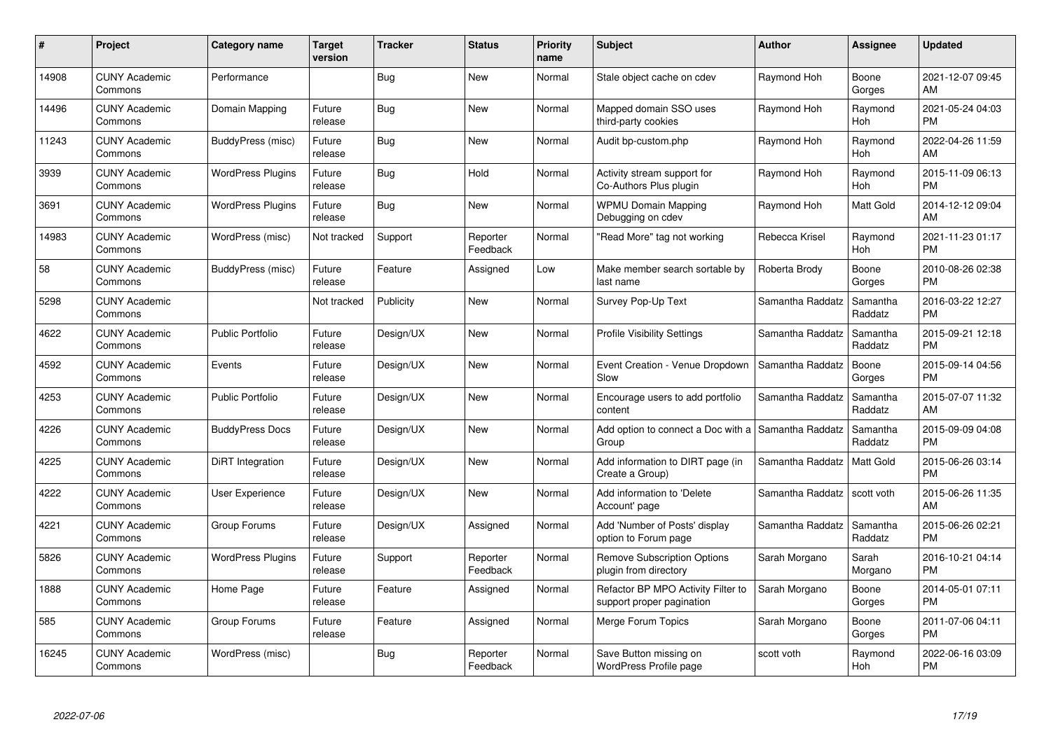| $\#$  | Project                         | <b>Category name</b>     | <b>Target</b><br>version | <b>Tracker</b> | <b>Status</b>        | <b>Priority</b><br>name | <b>Subject</b>                                                  | <b>Author</b>    | <b>Assignee</b>     | <b>Updated</b>                |
|-------|---------------------------------|--------------------------|--------------------------|----------------|----------------------|-------------------------|-----------------------------------------------------------------|------------------|---------------------|-------------------------------|
| 14908 | <b>CUNY Academic</b><br>Commons | Performance              |                          | <b>Bug</b>     | <b>New</b>           | Normal                  | Stale object cache on cdev                                      | Raymond Hoh      | Boone<br>Gorges     | 2021-12-07 09:45<br>AM        |
| 14496 | <b>CUNY Academic</b><br>Commons | Domain Mapping           | Future<br>release        | Bug            | <b>New</b>           | Normal                  | Mapped domain SSO uses<br>third-party cookies                   | Raymond Hoh      | Raymond<br>Hoh      | 2021-05-24 04:03<br><b>PM</b> |
| 11243 | <b>CUNY Academic</b><br>Commons | BuddyPress (misc)        | Future<br>release        | <b>Bug</b>     | New                  | Normal                  | Audit bp-custom.php                                             | Raymond Hoh      | Raymond<br>Hoh      | 2022-04-26 11:59<br>AM        |
| 3939  | <b>CUNY Academic</b><br>Commons | <b>WordPress Plugins</b> | Future<br>release        | <b>Bug</b>     | Hold                 | Normal                  | Activity stream support for<br>Co-Authors Plus plugin           | Raymond Hoh      | Raymond<br>Hoh      | 2015-11-09 06:13<br><b>PM</b> |
| 3691  | <b>CUNY Academic</b><br>Commons | <b>WordPress Plugins</b> | Future<br>release        | <b>Bug</b>     | <b>New</b>           | Normal                  | <b>WPMU Domain Mapping</b><br>Debugging on cdev                 | Raymond Hoh      | Matt Gold           | 2014-12-12 09:04<br>AM        |
| 14983 | <b>CUNY Academic</b><br>Commons | WordPress (misc)         | Not tracked              | Support        | Reporter<br>Feedback | Normal                  | "Read More" tag not working                                     | Rebecca Krisel   | Raymond<br>Hoh      | 2021-11-23 01:17<br><b>PM</b> |
| 58    | <b>CUNY Academic</b><br>Commons | BuddyPress (misc)        | Future<br>release        | Feature        | Assigned             | Low                     | Make member search sortable by<br>last name                     | Roberta Brody    | Boone<br>Gorges     | 2010-08-26 02:38<br><b>PM</b> |
| 5298  | <b>CUNY Academic</b><br>Commons |                          | Not tracked              | Publicity      | <b>New</b>           | Normal                  | Survey Pop-Up Text                                              | Samantha Raddatz | Samantha<br>Raddatz | 2016-03-22 12:27<br><b>PM</b> |
| 4622  | <b>CUNY Academic</b><br>Commons | <b>Public Portfolio</b>  | Future<br>release        | Design/UX      | New                  | Normal                  | <b>Profile Visibility Settings</b>                              | Samantha Raddatz | Samantha<br>Raddatz | 2015-09-21 12:18<br><b>PM</b> |
| 4592  | <b>CUNY Academic</b><br>Commons | Events                   | Future<br>release        | Design/UX      | <b>New</b>           | Normal                  | Event Creation - Venue Dropdown<br>Slow                         | Samantha Raddatz | Boone<br>Gorges     | 2015-09-14 04:56<br>PM        |
| 4253  | <b>CUNY Academic</b><br>Commons | <b>Public Portfolio</b>  | Future<br>release        | Design/UX      | New                  | Normal                  | Encourage users to add portfolio<br>content                     | Samantha Raddatz | Samantha<br>Raddatz | 2015-07-07 11:32<br>AM        |
| 4226  | <b>CUNY Academic</b><br>Commons | <b>BuddyPress Docs</b>   | Future<br>release        | Design/UX      | New                  | Normal                  | Add option to connect a Doc with a<br>Group                     | Samantha Raddatz | Samantha<br>Raddatz | 2015-09-09 04:08<br><b>PM</b> |
| 4225  | <b>CUNY Academic</b><br>Commons | DiRT Integration         | Future<br>release        | Design/UX      | New                  | Normal                  | Add information to DIRT page (in<br>Create a Group)             | Samantha Raddatz | Matt Gold           | 2015-06-26 03:14<br><b>PM</b> |
| 4222  | <b>CUNY Academic</b><br>Commons | <b>User Experience</b>   | Future<br>release        | Design/UX      | New                  | Normal                  | Add information to 'Delete<br>Account' page                     | Samantha Raddatz | scott voth          | 2015-06-26 11:35<br>AM        |
| 4221  | <b>CUNY Academic</b><br>Commons | Group Forums             | Future<br>release        | Design/UX      | Assigned             | Normal                  | Add 'Number of Posts' display<br>option to Forum page           | Samantha Raddatz | Samantha<br>Raddatz | 2015-06-26 02:21<br><b>PM</b> |
| 5826  | <b>CUNY Academic</b><br>Commons | <b>WordPress Plugins</b> | Future<br>release        | Support        | Reporter<br>Feedback | Normal                  | <b>Remove Subscription Options</b><br>plugin from directory     | Sarah Morgano    | Sarah<br>Morgano    | 2016-10-21 04:14<br><b>PM</b> |
| 1888  | <b>CUNY Academic</b><br>Commons | Home Page                | Future<br>release        | Feature        | Assigned             | Normal                  | Refactor BP MPO Activity Filter to<br>support proper pagination | Sarah Morgano    | Boone<br>Gorges     | 2014-05-01 07:11<br><b>PM</b> |
| 585   | <b>CUNY Academic</b><br>Commons | Group Forums             | Future<br>release        | Feature        | Assigned             | Normal                  | Merge Forum Topics                                              | Sarah Morgano    | Boone<br>Gorges     | 2011-07-06 04:11<br><b>PM</b> |
| 16245 | <b>CUNY Academic</b><br>Commons | WordPress (misc)         |                          | <b>Bug</b>     | Reporter<br>Feedback | Normal                  | Save Button missing on<br>WordPress Profile page                | scott voth       | Raymond<br>Hoh      | 2022-06-16 03:09<br><b>PM</b> |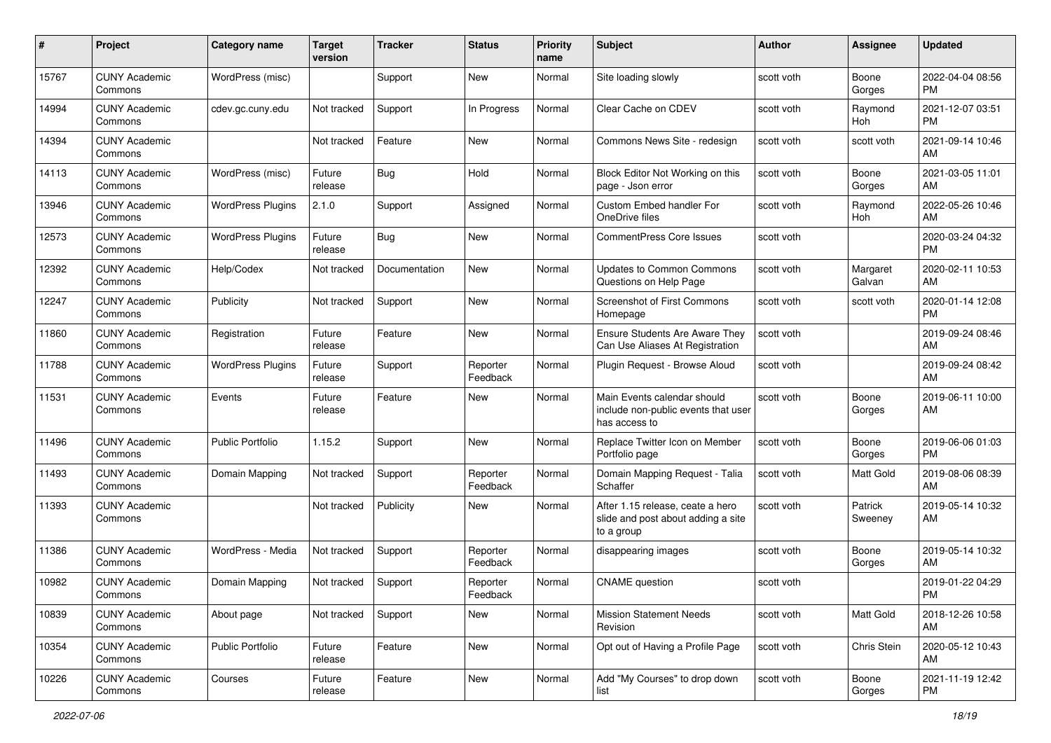| #     | Project                         | <b>Category name</b>     | <b>Target</b><br>version | <b>Tracker</b> | <b>Status</b>        | <b>Priority</b><br>name | <b>Subject</b>                                                                       | Author     | <b>Assignee</b>    | <b>Updated</b>                |
|-------|---------------------------------|--------------------------|--------------------------|----------------|----------------------|-------------------------|--------------------------------------------------------------------------------------|------------|--------------------|-------------------------------|
| 15767 | <b>CUNY Academic</b><br>Commons | WordPress (misc)         |                          | Support        | New                  | Normal                  | Site loading slowly                                                                  | scott voth | Boone<br>Gorges    | 2022-04-04 08:56<br><b>PM</b> |
| 14994 | <b>CUNY Academic</b><br>Commons | cdev.gc.cuny.edu         | Not tracked              | Support        | In Progress          | Normal                  | Clear Cache on CDEV                                                                  | scott voth | Raymond<br>Hoh     | 2021-12-07 03:51<br><b>PM</b> |
| 14394 | <b>CUNY Academic</b><br>Commons |                          | Not tracked              | Feature        | New                  | Normal                  | Commons News Site - redesign                                                         | scott voth | scott voth         | 2021-09-14 10:46<br>AM        |
| 14113 | <b>CUNY Academic</b><br>Commons | WordPress (misc)         | Future<br>release        | Bug            | Hold                 | Normal                  | Block Editor Not Working on this<br>page - Json error                                | scott voth | Boone<br>Gorges    | 2021-03-05 11:01<br>AM        |
| 13946 | <b>CUNY Academic</b><br>Commons | <b>WordPress Plugins</b> | 2.1.0                    | Support        | Assigned             | Normal                  | Custom Embed handler For<br>OneDrive files                                           | scott voth | Raymond<br>Hoh     | 2022-05-26 10:46<br>AM        |
| 12573 | <b>CUNY Academic</b><br>Commons | <b>WordPress Plugins</b> | Future<br>release        | <b>Bug</b>     | New                  | Normal                  | <b>CommentPress Core Issues</b>                                                      | scott voth |                    | 2020-03-24 04:32<br><b>PM</b> |
| 12392 | <b>CUNY Academic</b><br>Commons | Help/Codex               | Not tracked              | Documentation  | New                  | Normal                  | <b>Updates to Common Commons</b><br>Questions on Help Page                           | scott voth | Margaret<br>Galvan | 2020-02-11 10:53<br>AM        |
| 12247 | <b>CUNY Academic</b><br>Commons | Publicity                | Not tracked              | Support        | New                  | Normal                  | <b>Screenshot of First Commons</b><br>Homepage                                       | scott voth | scott voth         | 2020-01-14 12:08<br><b>PM</b> |
| 11860 | <b>CUNY Academic</b><br>Commons | Registration             | Future<br>release        | Feature        | New                  | Normal                  | Ensure Students Are Aware They<br>Can Use Aliases At Registration                    | scott voth |                    | 2019-09-24 08:46<br>AM        |
| 11788 | <b>CUNY Academic</b><br>Commons | <b>WordPress Plugins</b> | Future<br>release        | Support        | Reporter<br>Feedback | Normal                  | Plugin Request - Browse Aloud                                                        | scott voth |                    | 2019-09-24 08:42<br>AM        |
| 11531 | <b>CUNY Academic</b><br>Commons | Events                   | Future<br>release        | Feature        | New                  | Normal                  | Main Events calendar should<br>include non-public events that user<br>has access to  | scott voth | Boone<br>Gorges    | 2019-06-11 10:00<br>AM        |
| 11496 | <b>CUNY Academic</b><br>Commons | <b>Public Portfolio</b>  | 1.15.2                   | Support        | New                  | Normal                  | Replace Twitter Icon on Member<br>Portfolio page                                     | scott voth | Boone<br>Gorges    | 2019-06-06 01:03<br><b>PM</b> |
| 11493 | <b>CUNY Academic</b><br>Commons | Domain Mapping           | Not tracked              | Support        | Reporter<br>Feedback | Normal                  | Domain Mapping Request - Talia<br>Schaffer                                           | scott voth | Matt Gold          | 2019-08-06 08:39<br>AM        |
| 11393 | <b>CUNY Academic</b><br>Commons |                          | Not tracked              | Publicity      | New                  | Normal                  | After 1.15 release, ceate a hero<br>slide and post about adding a site<br>to a group | scott voth | Patrick<br>Sweeney | 2019-05-14 10:32<br>AM        |
| 11386 | <b>CUNY Academic</b><br>Commons | WordPress - Media        | Not tracked              | Support        | Reporter<br>Feedback | Normal                  | disappearing images                                                                  | scott voth | Boone<br>Gorges    | 2019-05-14 10:32<br>AM        |
| 10982 | <b>CUNY Academic</b><br>Commons | Domain Mapping           | Not tracked              | Support        | Reporter<br>Feedback | Normal                  | <b>CNAME</b> question                                                                | scott voth |                    | 2019-01-22 04:29<br><b>PM</b> |
| 10839 | <b>CUNY Academic</b><br>Commons | About page               | Not tracked              | Support        | New                  | Normal                  | <b>Mission Statement Needs</b><br>Revision                                           | scott voth | Matt Gold          | 2018-12-26 10:58<br>AM        |
| 10354 | <b>CUNY Academic</b><br>Commons | <b>Public Portfolio</b>  | Future<br>release        | Feature        | New                  | Normal                  | Opt out of Having a Profile Page                                                     | scott voth | Chris Stein        | 2020-05-12 10:43<br>AM        |
| 10226 | <b>CUNY Academic</b><br>Commons | Courses                  | Future<br>release        | Feature        | New                  | Normal                  | Add "My Courses" to drop down<br>list                                                | scott voth | Boone<br>Gorges    | 2021-11-19 12:42<br><b>PM</b> |